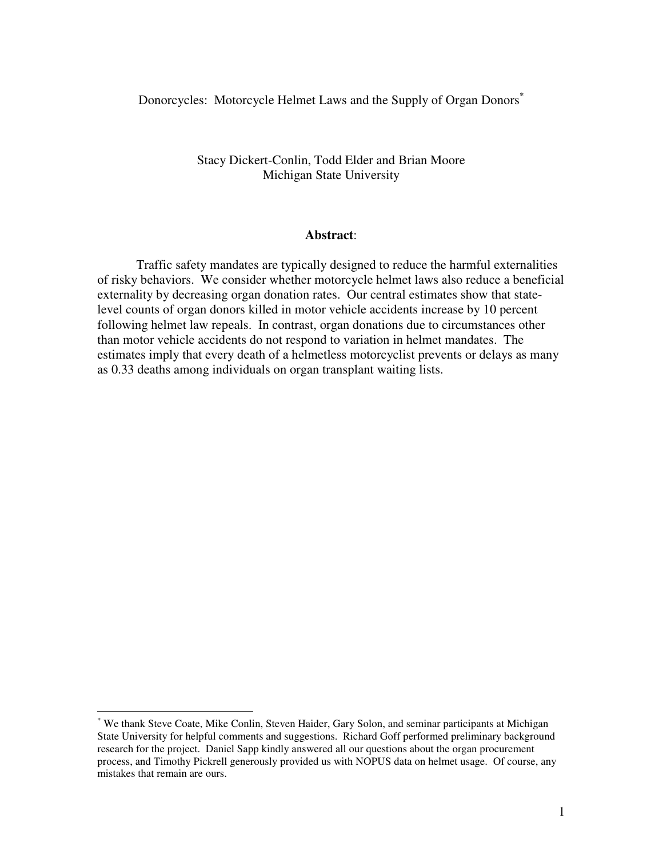Donorcycles: Motorcycle Helmet Laws and the Supply of Organ Donors<sup>\*</sup>

## Stacy Dickert-Conlin, Todd Elder and Brian Moore Michigan State University

### **Abstract**:

Traffic safety mandates are typically designed to reduce the harmful externalities of risky behaviors. We consider whether motorcycle helmet laws also reduce a beneficial externality by decreasing organ donation rates. Our central estimates show that statelevel counts of organ donors killed in motor vehicle accidents increase by 10 percent following helmet law repeals. In contrast, organ donations due to circumstances other than motor vehicle accidents do not respond to variation in helmet mandates. The estimates imply that every death of a helmetless motorcyclist prevents or delays as many as 0.33 deaths among individuals on organ transplant waiting lists.

<sup>\*</sup> We thank Steve Coate, Mike Conlin, Steven Haider, Gary Solon, and seminar participants at Michigan State University for helpful comments and suggestions. Richard Goff performed preliminary background research for the project. Daniel Sapp kindly answered all our questions about the organ procurement process, and Timothy Pickrell generously provided us with NOPUS data on helmet usage. Of course, any mistakes that remain are ours.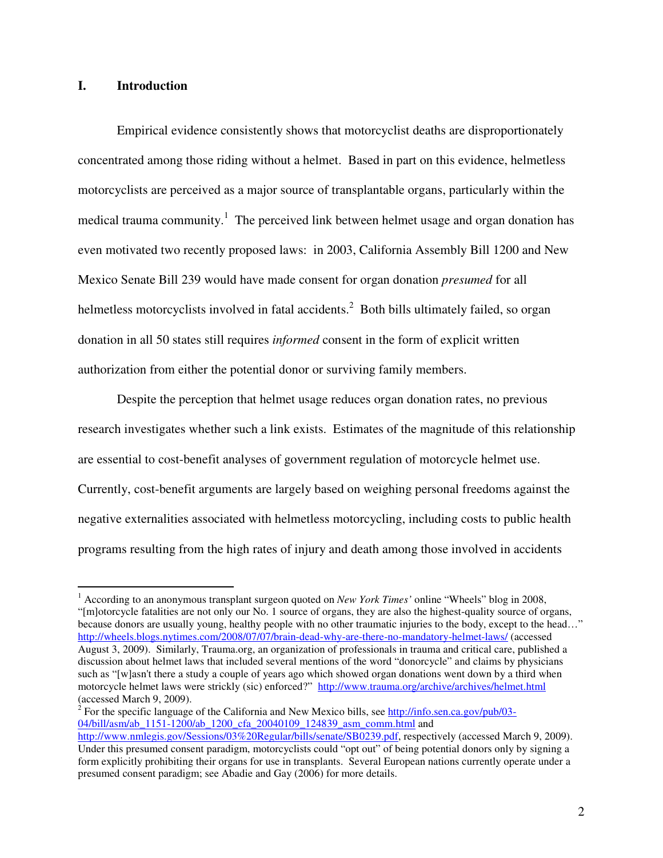## **I. Introduction**

Empirical evidence consistently shows that motorcyclist deaths are disproportionately concentrated among those riding without a helmet. Based in part on this evidence, helmetless motorcyclists are perceived as a major source of transplantable organs, particularly within the medical trauma community.<sup>1</sup> The perceived link between helmet usage and organ donation has even motivated two recently proposed laws: in 2003, California Assembly Bill 1200 and New Mexico Senate Bill 239 would have made consent for organ donation *presumed* for all helmetless motorcyclists involved in fatal accidents.<sup>2</sup> Both bills ultimately failed, so organ donation in all 50 states still requires *informed* consent in the form of explicit written authorization from either the potential donor or surviving family members.

Despite the perception that helmet usage reduces organ donation rates, no previous research investigates whether such a link exists. Estimates of the magnitude of this relationship are essential to cost-benefit analyses of government regulation of motorcycle helmet use. Currently, cost-benefit arguments are largely based on weighing personal freedoms against the negative externalities associated with helmetless motorcycling, including costs to public health programs resulting from the high rates of injury and death among those involved in accidents

2 For the specific language of the California and New Mexico bills, see http://info.sen.ca.gov/pub/03- 04/bill/asm/ab\_1151-1200/ab\_1200\_cfa\_20040109\_124839\_asm\_comm.html and

 $\overline{a}$ <sup>1</sup> According to an anonymous transplant surgeon quoted on *New York Times'* online "Wheels" blog in 2008, "[m]otorcycle fatalities are not only our No. 1 source of organs, they are also the highest-quality source of organs, because donors are usually young, healthy people with no other traumatic injuries to the body, except to the head…" http://wheels.blogs.nytimes.com/2008/07/07/brain-dead-why-are-there-no-mandatory-helmet-laws/ (accessed August 3, 2009). Similarly, Trauma.org, an organization of professionals in trauma and critical care, published a discussion about helmet laws that included several mentions of the word "donorcycle" and claims by physicians such as "[w]asn't there a study a couple of years ago which showed organ donations went down by a third when motorcycle helmet laws were strickly (sic) enforced?" http://www.trauma.org/archive/archives/helmet.html (accessed March 9, 2009).

http://www.nmlegis.gov/Sessions/03%20Regular/bills/senate/SB0239.pdf, respectively (accessed March 9, 2009). Under this presumed consent paradigm, motorcyclists could "opt out" of being potential donors only by signing a form explicitly prohibiting their organs for use in transplants. Several European nations currently operate under a presumed consent paradigm; see Abadie and Gay (2006) for more details.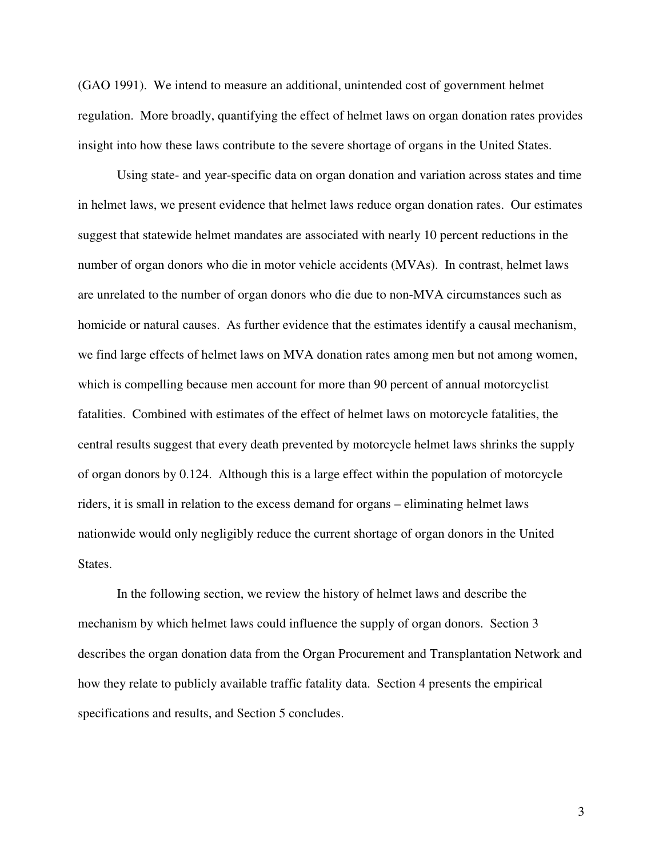(GAO 1991). We intend to measure an additional, unintended cost of government helmet regulation. More broadly, quantifying the effect of helmet laws on organ donation rates provides insight into how these laws contribute to the severe shortage of organs in the United States.

Using state- and year-specific data on organ donation and variation across states and time in helmet laws, we present evidence that helmet laws reduce organ donation rates. Our estimates suggest that statewide helmet mandates are associated with nearly 10 percent reductions in the number of organ donors who die in motor vehicle accidents (MVAs). In contrast, helmet laws are unrelated to the number of organ donors who die due to non-MVA circumstances such as homicide or natural causes. As further evidence that the estimates identify a causal mechanism, we find large effects of helmet laws on MVA donation rates among men but not among women, which is compelling because men account for more than 90 percent of annual motorcyclist fatalities. Combined with estimates of the effect of helmet laws on motorcycle fatalities, the central results suggest that every death prevented by motorcycle helmet laws shrinks the supply of organ donors by 0.124. Although this is a large effect within the population of motorcycle riders, it is small in relation to the excess demand for organs – eliminating helmet laws nationwide would only negligibly reduce the current shortage of organ donors in the United States.

In the following section, we review the history of helmet laws and describe the mechanism by which helmet laws could influence the supply of organ donors. Section 3 describes the organ donation data from the Organ Procurement and Transplantation Network and how they relate to publicly available traffic fatality data. Section 4 presents the empirical specifications and results, and Section 5 concludes.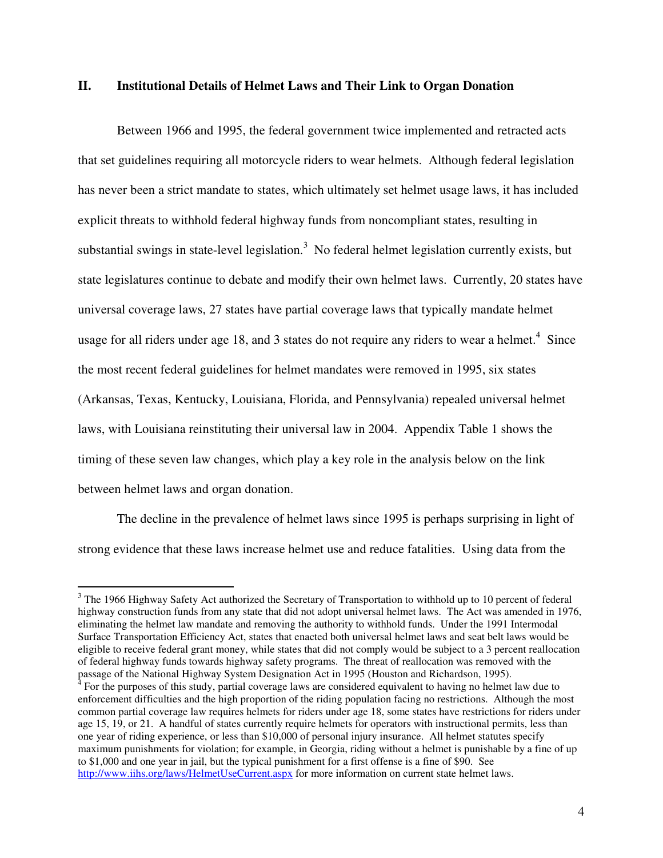## **II. Institutional Details of Helmet Laws and Their Link to Organ Donation**

Between 1966 and 1995, the federal government twice implemented and retracted acts that set guidelines requiring all motorcycle riders to wear helmets. Although federal legislation has never been a strict mandate to states, which ultimately set helmet usage laws, it has included explicit threats to withhold federal highway funds from noncompliant states, resulting in substantial swings in state-level legislation.<sup>3</sup> No federal helmet legislation currently exists, but state legislatures continue to debate and modify their own helmet laws. Currently, 20 states have universal coverage laws, 27 states have partial coverage laws that typically mandate helmet usage for all riders under age 18, and 3 states do not require any riders to wear a helmet.<sup>4</sup> Since the most recent federal guidelines for helmet mandates were removed in 1995, six states (Arkansas, Texas, Kentucky, Louisiana, Florida, and Pennsylvania) repealed universal helmet laws, with Louisiana reinstituting their universal law in 2004. Appendix Table 1 shows the timing of these seven law changes, which play a key role in the analysis below on the link between helmet laws and organ donation.

The decline in the prevalence of helmet laws since 1995 is perhaps surprising in light of strong evidence that these laws increase helmet use and reduce fatalities. Using data from the

 $3$  The 1966 Highway Safety Act authorized the Secretary of Transportation to withhold up to 10 percent of federal highway construction funds from any state that did not adopt universal helmet laws. The Act was amended in 1976, eliminating the helmet law mandate and removing the authority to withhold funds. Under the 1991 Intermodal Surface Transportation Efficiency Act, states that enacted both universal helmet laws and seat belt laws would be eligible to receive federal grant money, while states that did not comply would be subject to a 3 percent reallocation of federal highway funds towards highway safety programs. The threat of reallocation was removed with the passage of the National Highway System Designation Act in 1995 (Houston and Richardson, 1995).<br><sup>4</sup> Een the numeres of this study, pertial severage laws are sepaidered equivalent to beying no helmet.

For the purposes of this study, partial coverage laws are considered equivalent to having no helmet law due to enforcement difficulties and the high proportion of the riding population facing no restrictions. Although the most common partial coverage law requires helmets for riders under age 18, some states have restrictions for riders under age 15, 19, or 21. A handful of states currently require helmets for operators with instructional permits, less than one year of riding experience, or less than \$10,000 of personal injury insurance. All helmet statutes specify maximum punishments for violation; for example, in Georgia, riding without a helmet is punishable by a fine of up to \$1,000 and one year in jail, but the typical punishment for a first offense is a fine of \$90. See http://www.iihs.org/laws/HelmetUseCurrent.aspx for more information on current state helmet laws.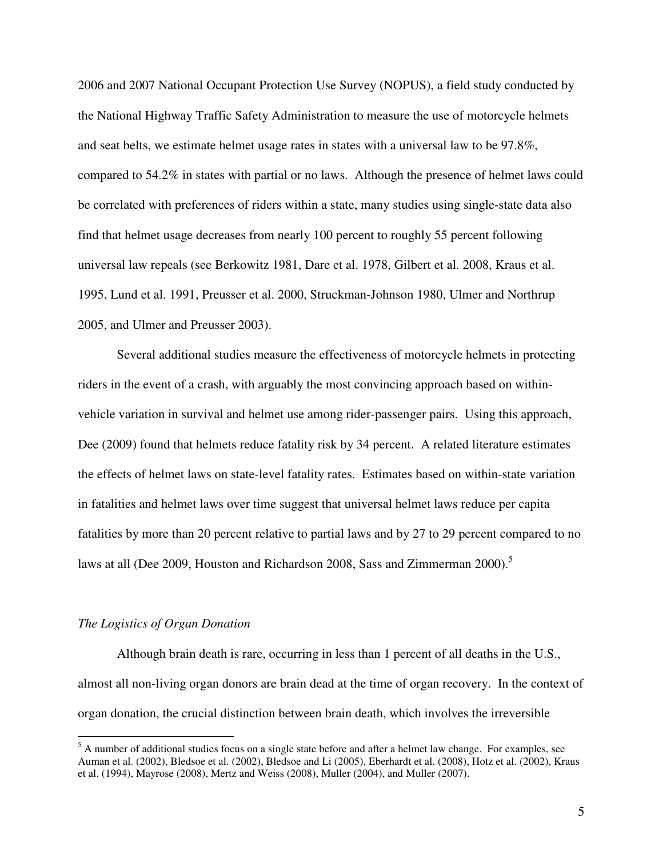2006 and 2007 National Occupant Protection Use Survey (NOPUS), a field study conducted by the National Highway Traffic Safety Administration to measure the use of motorcycle helmets and seat belts, we estimate helmet usage rates in states with a universal law to be 97.8%, compared to 54.2% in states with partial or no laws. Although the presence of helmet laws could be correlated with preferences of riders within a state, many studies using single-state data also find that helmet usage decreases from nearly 100 percent to roughly 55 percent following universal law repeals (see Berkowitz 1981, Dare et al. 1978, Gilbert et al. 2008, Kraus et al. 1995, Lund et al. 1991, Preusser et al. 2000, Struckman-Johnson 1980, Ulmer and Northrup 2005, and Ulmer and Preusser 2003).

Several additional studies measure the effectiveness of motorcycle helmets in protecting riders in the event of a crash, with arguably the most convincing approach based on withinvehicle variation in survival and helmet use among rider-passenger pairs. Using this approach, Dee (2009) found that helmets reduce fatality risk by 34 percent. A related literature estimates the effects of helmet laws on state-level fatality rates. Estimates based on within-state variation in fatalities and helmet laws over time suggest that universal helmet laws reduce per capita fatalities by more than 20 percent relative to partial laws and by 27 to 29 percent compared to no laws at all (Dee 2009, Houston and Richardson 2008, Sass and Zimmerman 2000).<sup>5</sup>

#### *The Logistics of Organ Donation*

 $\overline{a}$ 

Although brain death is rare, occurring in less than 1 percent of all deaths in the U.S., almost all non-living organ donors are brain dead at the time of organ recovery. In the context of organ donation, the crucial distinction between brain death, which involves the irreversible

 $<sup>5</sup>$  A number of additional studies focus on a single state before and after a helmet law change. For examples, see</sup> Auman et al. (2002), Bledsoe et al. (2002), Bledsoe and Li (2005), Eberhardt et al. (2008), Hotz et al. (2002), Kraus et al. (1994), Mayrose (2008), Mertz and Weiss (2008), Muller (2004), and Muller (2007).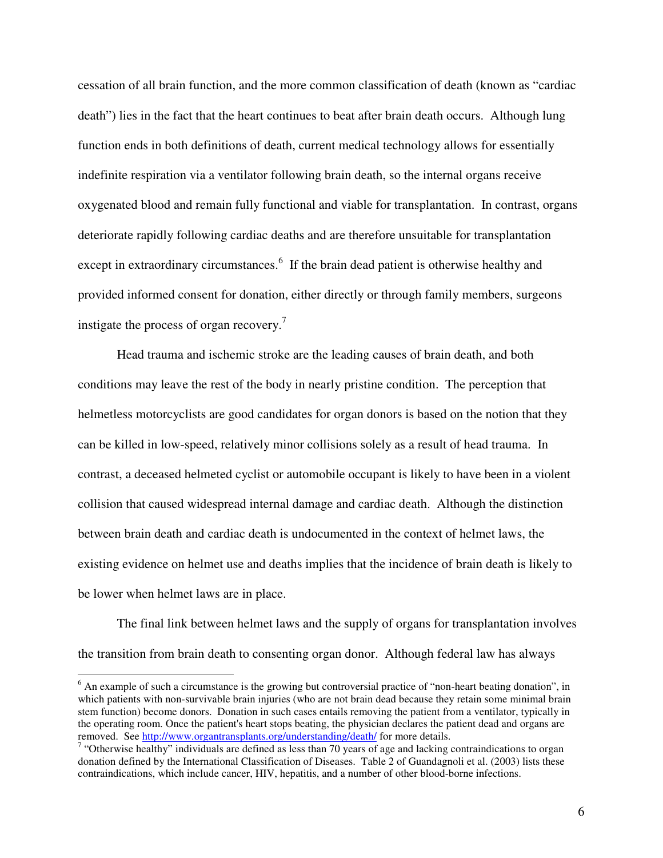cessation of all brain function, and the more common classification of death (known as "cardiac death") lies in the fact that the heart continues to beat after brain death occurs. Although lung function ends in both definitions of death, current medical technology allows for essentially indefinite respiration via a ventilator following brain death, so the internal organs receive oxygenated blood and remain fully functional and viable for transplantation. In contrast, organs deteriorate rapidly following cardiac deaths and are therefore unsuitable for transplantation except in extraordinary circumstances.<sup>6</sup> If the brain dead patient is otherwise healthy and provided informed consent for donation, either directly or through family members, surgeons instigate the process of organ recovery.<sup>7</sup>

Head trauma and ischemic stroke are the leading causes of brain death, and both conditions may leave the rest of the body in nearly pristine condition. The perception that helmetless motorcyclists are good candidates for organ donors is based on the notion that they can be killed in low-speed, relatively minor collisions solely as a result of head trauma. In contrast, a deceased helmeted cyclist or automobile occupant is likely to have been in a violent collision that caused widespread internal damage and cardiac death. Although the distinction between brain death and cardiac death is undocumented in the context of helmet laws, the existing evidence on helmet use and deaths implies that the incidence of brain death is likely to be lower when helmet laws are in place.

The final link between helmet laws and the supply of organs for transplantation involves the transition from brain death to consenting organ donor. Although federal law has always

<sup>&</sup>lt;sup>6</sup> An example of such a circumstance is the growing but controversial practice of "non-heart beating donation", in which patients with non-survivable brain injuries (who are not brain dead because they retain some minimal brain stem function) become donors. Donation in such cases entails removing the patient from a ventilator, typically in the operating room. Once the patient's heart stops beating, the physician declares the patient dead and organs are removed. See http://www.organtransplants.org/understanding/death/ for more details.

<sup>&</sup>lt;sup>7</sup> "Otherwise healthy" individuals are defined as less than 70 years of age and lacking contraindications to organ donation defined by the International Classification of Diseases. Table 2 of Guandagnoli et al. (2003) lists these contraindications, which include cancer, HIV, hepatitis, and a number of other blood-borne infections.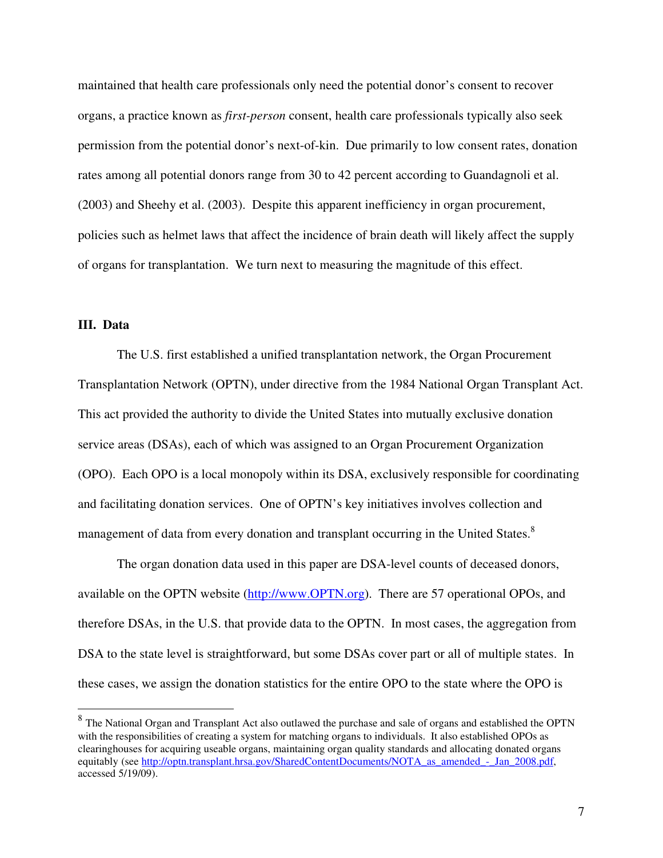maintained that health care professionals only need the potential donor's consent to recover organs, a practice known as *first-person* consent, health care professionals typically also seek permission from the potential donor's next-of-kin. Due primarily to low consent rates, donation rates among all potential donors range from 30 to 42 percent according to Guandagnoli et al. (2003) and Sheehy et al. (2003). Despite this apparent inefficiency in organ procurement, policies such as helmet laws that affect the incidence of brain death will likely affect the supply of organs for transplantation. We turn next to measuring the magnitude of this effect.

### **III. Data**

The U.S. first established a unified transplantation network, the Organ Procurement Transplantation Network (OPTN), under directive from the 1984 National Organ Transplant Act. This act provided the authority to divide the United States into mutually exclusive donation service areas (DSAs), each of which was assigned to an Organ Procurement Organization (OPO). Each OPO is a local monopoly within its DSA, exclusively responsible for coordinating and facilitating donation services. One of OPTN's key initiatives involves collection and management of data from every donation and transplant occurring in the United States.<sup>8</sup>

The organ donation data used in this paper are DSA-level counts of deceased donors, available on the OPTN website (http://www.OPTN.org). There are 57 operational OPOs, and therefore DSAs, in the U.S. that provide data to the OPTN. In most cases, the aggregation from DSA to the state level is straightforward, but some DSAs cover part or all of multiple states. In these cases, we assign the donation statistics for the entire OPO to the state where the OPO is

<sup>&</sup>lt;sup>8</sup> The National Organ and Transplant Act also outlawed the purchase and sale of organs and established the OPTN with the responsibilities of creating a system for matching organs to individuals. It also established OPOs as clearinghouses for acquiring useable organs, maintaining organ quality standards and allocating donated organs equitably (see http://optn.transplant.hrsa.gov/SharedContentDocuments/NOTA\_as\_amended\_-\_Jan\_2008.pdf, accessed 5/19/09).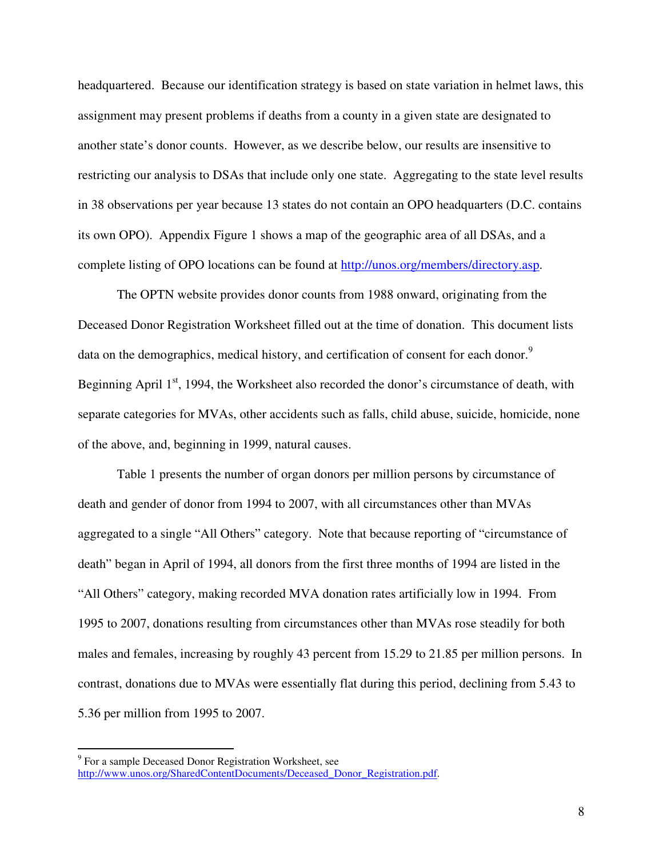headquartered. Because our identification strategy is based on state variation in helmet laws, this assignment may present problems if deaths from a county in a given state are designated to another state's donor counts. However, as we describe below, our results are insensitive to restricting our analysis to DSAs that include only one state. Aggregating to the state level results in 38 observations per year because 13 states do not contain an OPO headquarters (D.C. contains its own OPO). Appendix Figure 1 shows a map of the geographic area of all DSAs, and a complete listing of OPO locations can be found at http://unos.org/members/directory.asp.

The OPTN website provides donor counts from 1988 onward, originating from the Deceased Donor Registration Worksheet filled out at the time of donation. This document lists data on the demographics, medical history, and certification of consent for each donor.<sup>9</sup> Beginning April  $1<sup>st</sup>$ , 1994, the Worksheet also recorded the donor's circumstance of death, with separate categories for MVAs, other accidents such as falls, child abuse, suicide, homicide, none of the above, and, beginning in 1999, natural causes.

Table 1 presents the number of organ donors per million persons by circumstance of death and gender of donor from 1994 to 2007, with all circumstances other than MVAs aggregated to a single "All Others" category. Note that because reporting of "circumstance of death" began in April of 1994, all donors from the first three months of 1994 are listed in the "All Others" category, making recorded MVA donation rates artificially low in 1994. From 1995 to 2007, donations resulting from circumstances other than MVAs rose steadily for both males and females, increasing by roughly 43 percent from 15.29 to 21.85 per million persons. In contrast, donations due to MVAs were essentially flat during this period, declining from 5.43 to 5.36 per million from 1995 to 2007.

<sup>&</sup>lt;sup>9</sup> For a sample Deceased Donor Registration Worksheet, see http://www.unos.org/SharedContentDocuments/Deceased\_Donor\_Registration.pdf.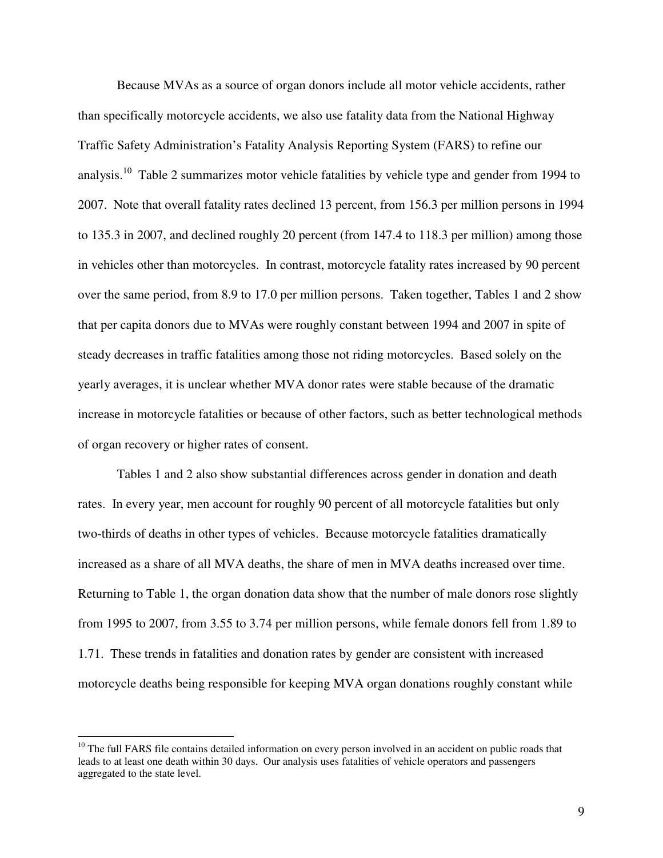Because MVAs as a source of organ donors include all motor vehicle accidents, rather than specifically motorcycle accidents, we also use fatality data from the National Highway Traffic Safety Administration's Fatality Analysis Reporting System (FARS) to refine our analysis.<sup>10</sup> Table 2 summarizes motor vehicle fatalities by vehicle type and gender from 1994 to 2007. Note that overall fatality rates declined 13 percent, from 156.3 per million persons in 1994 to 135.3 in 2007, and declined roughly 20 percent (from 147.4 to 118.3 per million) among those in vehicles other than motorcycles. In contrast, motorcycle fatality rates increased by 90 percent over the same period, from 8.9 to 17.0 per million persons. Taken together, Tables 1 and 2 show that per capita donors due to MVAs were roughly constant between 1994 and 2007 in spite of steady decreases in traffic fatalities among those not riding motorcycles. Based solely on the yearly averages, it is unclear whether MVA donor rates were stable because of the dramatic increase in motorcycle fatalities or because of other factors, such as better technological methods of organ recovery or higher rates of consent.

Tables 1 and 2 also show substantial differences across gender in donation and death rates. In every year, men account for roughly 90 percent of all motorcycle fatalities but only two-thirds of deaths in other types of vehicles. Because motorcycle fatalities dramatically increased as a share of all MVA deaths, the share of men in MVA deaths increased over time. Returning to Table 1, the organ donation data show that the number of male donors rose slightly from 1995 to 2007, from 3.55 to 3.74 per million persons, while female donors fell from 1.89 to 1.71. These trends in fatalities and donation rates by gender are consistent with increased motorcycle deaths being responsible for keeping MVA organ donations roughly constant while

 $10$  The full FARS file contains detailed information on every person involved in an accident on public roads that leads to at least one death within 30 days. Our analysis uses fatalities of vehicle operators and passengers aggregated to the state level.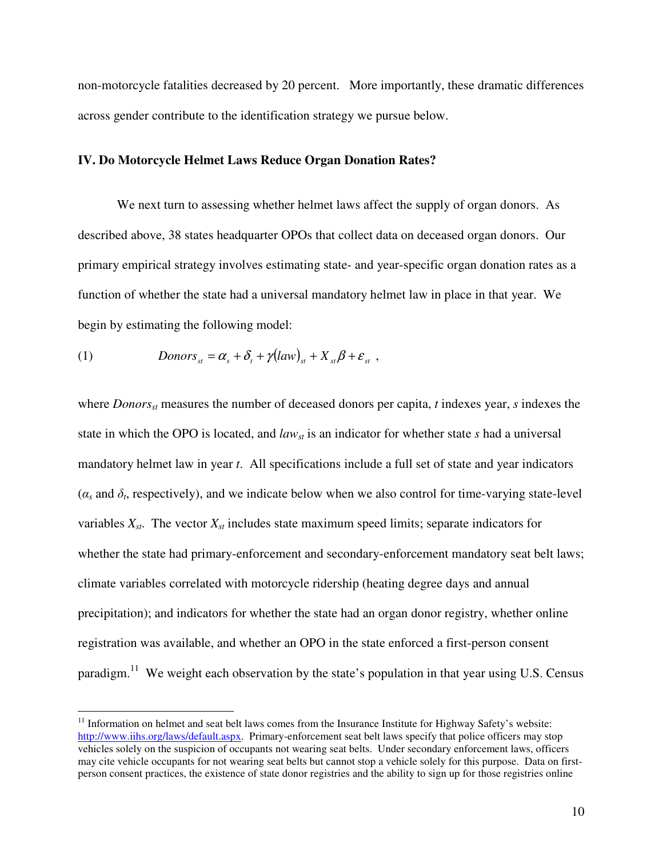non-motorcycle fatalities decreased by 20 percent. More importantly, these dramatic differences across gender contribute to the identification strategy we pursue below.

### **IV. Do Motorcycle Helmet Laws Reduce Organ Donation Rates?**

We next turn to assessing whether helmet laws affect the supply of organ donors. As described above, 38 states headquarter OPOs that collect data on deceased organ donors. Our primary empirical strategy involves estimating state- and year-specific organ donation rates as a function of whether the state had a universal mandatory helmet law in place in that year. We begin by estimating the following model:

(1) 
$$
Donors_{st} = \alpha_s + \delta_t + \gamma (law)_{st} + X_{st} \beta + \varepsilon_{st} ,
$$

 $\overline{a}$ 

where *Donorsst* measures the number of deceased donors per capita, *t* indexes year, *s* indexes the state in which the OPO is located, and *lawst* is an indicator for whether state *s* had a universal mandatory helmet law in year *t*. All specifications include a full set of state and year indicators  $(\alpha_s$  and  $\delta_t$ , respectively), and we indicate below when we also control for time-varying state-level variables  $X_{st}$ . The vector  $X_{st}$  includes state maximum speed limits; separate indicators for whether the state had primary-enforcement and secondary-enforcement mandatory seat belt laws; climate variables correlated with motorcycle ridership (heating degree days and annual precipitation); and indicators for whether the state had an organ donor registry, whether online registration was available, and whether an OPO in the state enforced a first-person consent paradigm.<sup>11</sup> We weight each observation by the state's population in that year using U.S. Census

<sup>&</sup>lt;sup>11</sup> Information on helmet and seat belt laws comes from the Insurance Institute for Highway Safety's website: http://www.iihs.org/laws/default.aspx. Primary-enforcement seat belt laws specify that police officers may stop vehicles solely on the suspicion of occupants not wearing seat belts. Under secondary enforcement laws, officers may cite vehicle occupants for not wearing seat belts but cannot stop a vehicle solely for this purpose. Data on firstperson consent practices, the existence of state donor registries and the ability to sign up for those registries online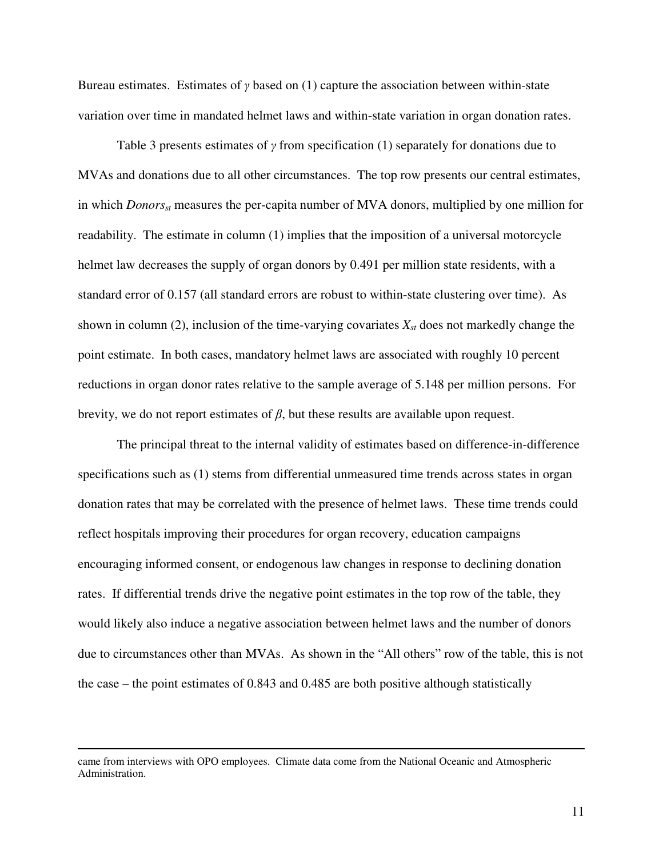Bureau estimates.Estimates of γ based on (1) capture the association between within-state variation over time in mandated helmet laws and within-state variation in organ donation rates.

Table 3 presents estimates of  $\gamma$  from specification (1) separately for donations due to MVAs and donations due to all other circumstances. The top row presents our central estimates, in which *Donorsst* measures the per-capita number of MVA donors, multiplied by one million for readability. The estimate in column (1) implies that the imposition of a universal motorcycle helmet law decreases the supply of organ donors by 0.491 per million state residents, with a standard error of 0.157 (all standard errors are robust to within-state clustering over time). As shown in column (2), inclusion of the time-varying covariates *Xst* does not markedly change the point estimate. In both cases, mandatory helmet laws are associated with roughly 10 percent reductions in organ donor rates relative to the sample average of 5.148 per million persons. For brevity, we do not report estimates of  $\beta$ , but these results are available upon request.

The principal threat to the internal validity of estimates based on difference-in-difference specifications such as (1) stems from differential unmeasured time trends across states in organ donation rates that may be correlated with the presence of helmet laws. These time trends could reflect hospitals improving their procedures for organ recovery, education campaigns encouraging informed consent, or endogenous law changes in response to declining donation rates. If differential trends drive the negative point estimates in the top row of the table, they would likely also induce a negative association between helmet laws and the number of donors due to circumstances other than MVAs. As shown in the "All others" row of the table, this is not the case – the point estimates of 0.843 and 0.485 are both positive although statistically

came from interviews with OPO employees. Climate data come from the National Oceanic and Atmospheric Administration.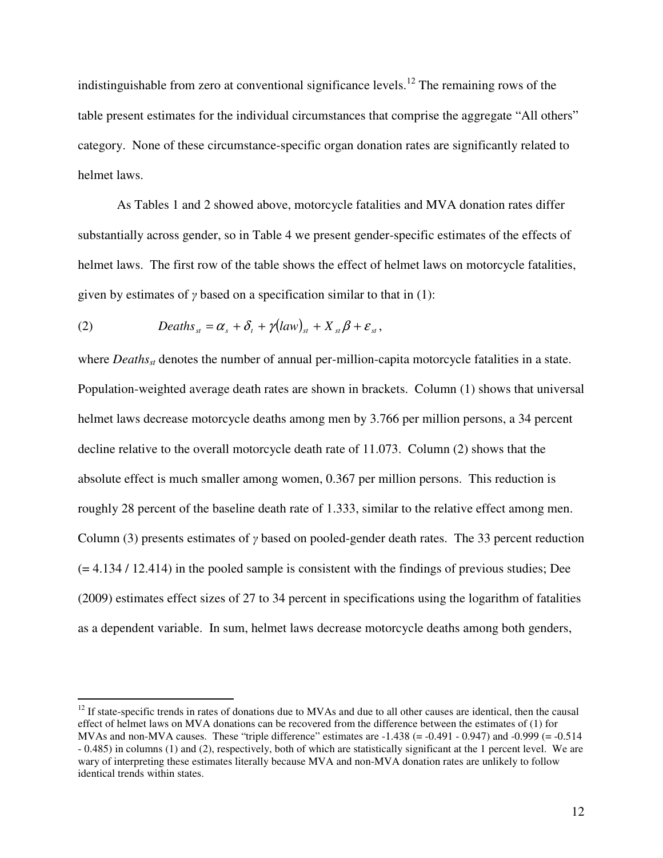indistinguishable from zero at conventional significance levels.<sup>12</sup> The remaining rows of the table present estimates for the individual circumstances that comprise the aggregate "All others" category. None of these circumstance-specific organ donation rates are significantly related to helmet laws.

As Tables 1 and 2 showed above, motorcycle fatalities and MVA donation rates differ substantially across gender, so in Table 4 we present gender-specific estimates of the effects of helmet laws. The first row of the table shows the effect of helmet laws on motorcycle fatalities, given by estimates of  $\gamma$  based on a specification similar to that in (1):

(2) 
$$
Deaths_{st} = \alpha_s + \delta_t + \gamma (law)_{st} + X_{st}\beta + \varepsilon_{st},
$$

 $\overline{a}$ 

where *Deaths<sub>st</sub>* denotes the number of annual per-million-capita motorcycle fatalities in a state. Population-weighted average death rates are shown in brackets. Column (1) shows that universal helmet laws decrease motorcycle deaths among men by 3.766 per million persons, a 34 percent decline relative to the overall motorcycle death rate of 11.073. Column (2) shows that the absolute effect is much smaller among women, 0.367 per million persons. This reduction is roughly 28 percent of the baseline death rate of 1.333, similar to the relative effect among men. Column (3) presents estimates of γ based on pooled-gender death rates. The 33 percent reduction  $(= 4.134 / 12.414)$  in the pooled sample is consistent with the findings of previous studies; Dee (2009) estimates effect sizes of 27 to 34 percent in specifications using the logarithm of fatalities as a dependent variable. In sum, helmet laws decrease motorcycle deaths among both genders,

 $12$  If state-specific trends in rates of donations due to MVAs and due to all other causes are identical, then the causal effect of helmet laws on MVA donations can be recovered from the difference between the estimates of (1) for MVAs and non-MVA causes. These "triple difference" estimates are  $-1.438$  ( $= -0.491 - 0.947$ ) and  $-0.999$  ( $= -0.514$ ) - 0.485) in columns (1) and (2), respectively, both of which are statistically significant at the 1 percent level. We are wary of interpreting these estimates literally because MVA and non-MVA donation rates are unlikely to follow identical trends within states.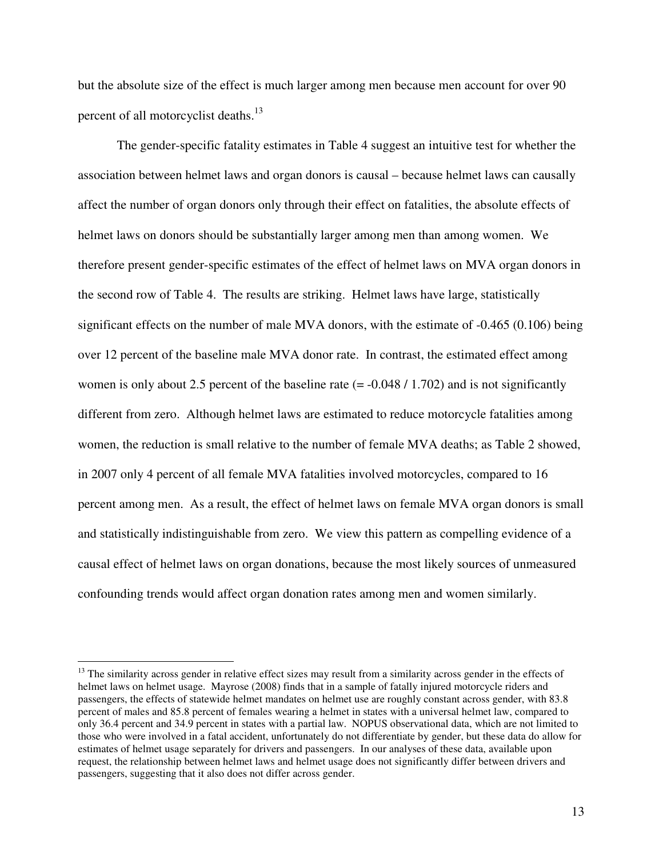but the absolute size of the effect is much larger among men because men account for over 90 percent of all motorcyclist deaths.<sup>13</sup>

The gender-specific fatality estimates in Table 4 suggest an intuitive test for whether the association between helmet laws and organ donors is causal – because helmet laws can causally affect the number of organ donors only through their effect on fatalities, the absolute effects of helmet laws on donors should be substantially larger among men than among women. We therefore present gender-specific estimates of the effect of helmet laws on MVA organ donors in the second row of Table 4. The results are striking. Helmet laws have large, statistically significant effects on the number of male MVA donors, with the estimate of -0.465 (0.106) being over 12 percent of the baseline male MVA donor rate. In contrast, the estimated effect among women is only about 2.5 percent of the baseline rate  $(= -0.048 / 1.702)$  and is not significantly different from zero. Although helmet laws are estimated to reduce motorcycle fatalities among women, the reduction is small relative to the number of female MVA deaths; as Table 2 showed, in 2007 only 4 percent of all female MVA fatalities involved motorcycles, compared to 16 percent among men. As a result, the effect of helmet laws on female MVA organ donors is small and statistically indistinguishable from zero. We view this pattern as compelling evidence of a causal effect of helmet laws on organ donations, because the most likely sources of unmeasured confounding trends would affect organ donation rates among men and women similarly.

<sup>&</sup>lt;sup>13</sup> The similarity across gender in relative effect sizes may result from a similarity across gender in the effects of helmet laws on helmet usage. Mayrose (2008) finds that in a sample of fatally injured motorcycle riders and passengers, the effects of statewide helmet mandates on helmet use are roughly constant across gender, with 83.8 percent of males and 85.8 percent of females wearing a helmet in states with a universal helmet law, compared to only 36.4 percent and 34.9 percent in states with a partial law. NOPUS observational data, which are not limited to those who were involved in a fatal accident, unfortunately do not differentiate by gender, but these data do allow for estimates of helmet usage separately for drivers and passengers. In our analyses of these data, available upon request, the relationship between helmet laws and helmet usage does not significantly differ between drivers and passengers, suggesting that it also does not differ across gender.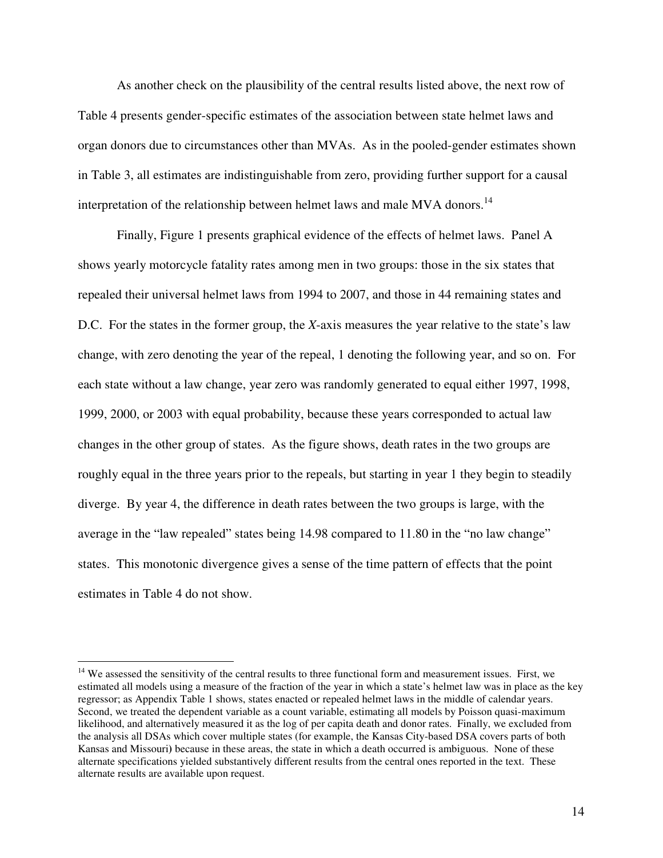As another check on the plausibility of the central results listed above, the next row of Table 4 presents gender-specific estimates of the association between state helmet laws and organ donors due to circumstances other than MVAs. As in the pooled-gender estimates shown in Table 3, all estimates are indistinguishable from zero, providing further support for a causal interpretation of the relationship between helmet laws and male MVA donors.<sup>14</sup>

Finally, Figure 1 presents graphical evidence of the effects of helmet laws. Panel A shows yearly motorcycle fatality rates among men in two groups: those in the six states that repealed their universal helmet laws from 1994 to 2007, and those in 44 remaining states and D.C. For the states in the former group, the *X*-axis measures the year relative to the state's law change, with zero denoting the year of the repeal, 1 denoting the following year, and so on. For each state without a law change, year zero was randomly generated to equal either 1997, 1998, 1999, 2000, or 2003 with equal probability, because these years corresponded to actual law changes in the other group of states. As the figure shows, death rates in the two groups are roughly equal in the three years prior to the repeals, but starting in year 1 they begin to steadily diverge. By year 4, the difference in death rates between the two groups is large, with the average in the "law repealed" states being 14.98 compared to 11.80 in the "no law change" states. This monotonic divergence gives a sense of the time pattern of effects that the point estimates in Table 4 do not show.

 $14$  We assessed the sensitivity of the central results to three functional form and measurement issues. First, we estimated all models using a measure of the fraction of the year in which a state's helmet law was in place as the key regressor; as Appendix Table 1 shows, states enacted or repealed helmet laws in the middle of calendar years. Second, we treated the dependent variable as a count variable, estimating all models by Poisson quasi-maximum likelihood, and alternatively measured it as the log of per capita death and donor rates. Finally, we excluded from the analysis all DSAs which cover multiple states (for example, the Kansas City-based DSA covers parts of both Kansas and Missouri**)** because in these areas, the state in which a death occurred is ambiguous. None of these alternate specifications yielded substantively different results from the central ones reported in the text. These alternate results are available upon request.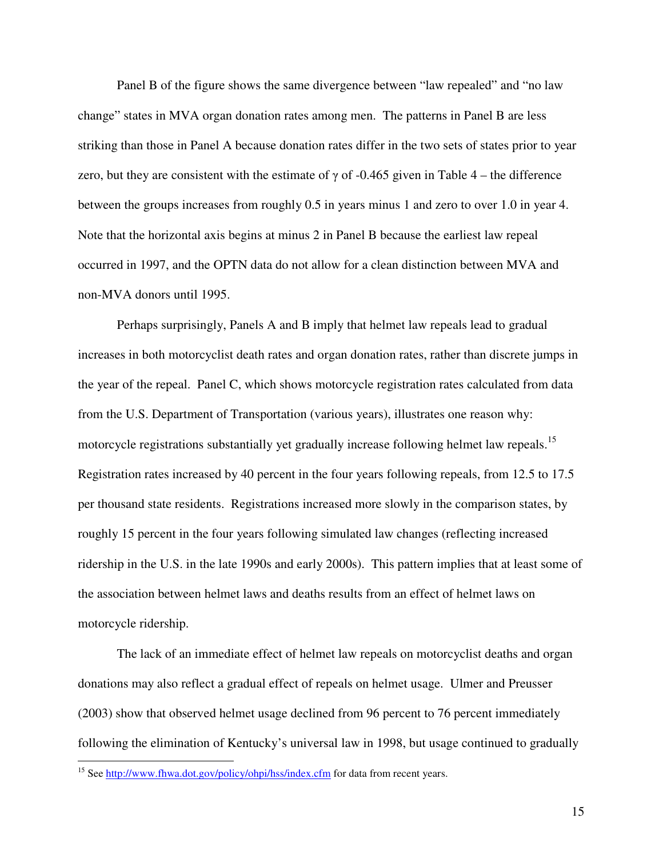Panel B of the figure shows the same divergence between "law repealed" and "no law change" states in MVA organ donation rates among men. The patterns in Panel B are less striking than those in Panel A because donation rates differ in the two sets of states prior to year zero, but they are consistent with the estimate of  $\gamma$  of -0.465 given in Table 4 – the difference between the groups increases from roughly 0.5 in years minus 1 and zero to over 1.0 in year 4. Note that the horizontal axis begins at minus 2 in Panel B because the earliest law repeal occurred in 1997, and the OPTN data do not allow for a clean distinction between MVA and non-MVA donors until 1995.

Perhaps surprisingly, Panels A and B imply that helmet law repeals lead to gradual increases in both motorcyclist death rates and organ donation rates, rather than discrete jumps in the year of the repeal. Panel C, which shows motorcycle registration rates calculated from data from the U.S. Department of Transportation (various years), illustrates one reason why: motorcycle registrations substantially yet gradually increase following helmet law repeals.<sup>15</sup> Registration rates increased by 40 percent in the four years following repeals, from 12.5 to 17.5 per thousand state residents. Registrations increased more slowly in the comparison states, by roughly 15 percent in the four years following simulated law changes (reflecting increased ridership in the U.S. in the late 1990s and early 2000s). This pattern implies that at least some of the association between helmet laws and deaths results from an effect of helmet laws on motorcycle ridership.

The lack of an immediate effect of helmet law repeals on motorcyclist deaths and organ donations may also reflect a gradual effect of repeals on helmet usage. Ulmer and Preusser (2003) show that observed helmet usage declined from 96 percent to 76 percent immediately following the elimination of Kentucky's universal law in 1998, but usage continued to gradually

<sup>&</sup>lt;sup>15</sup> See http://www.fhwa.dot.gov/policy/ohpi/hss/index.cfm for data from recent years.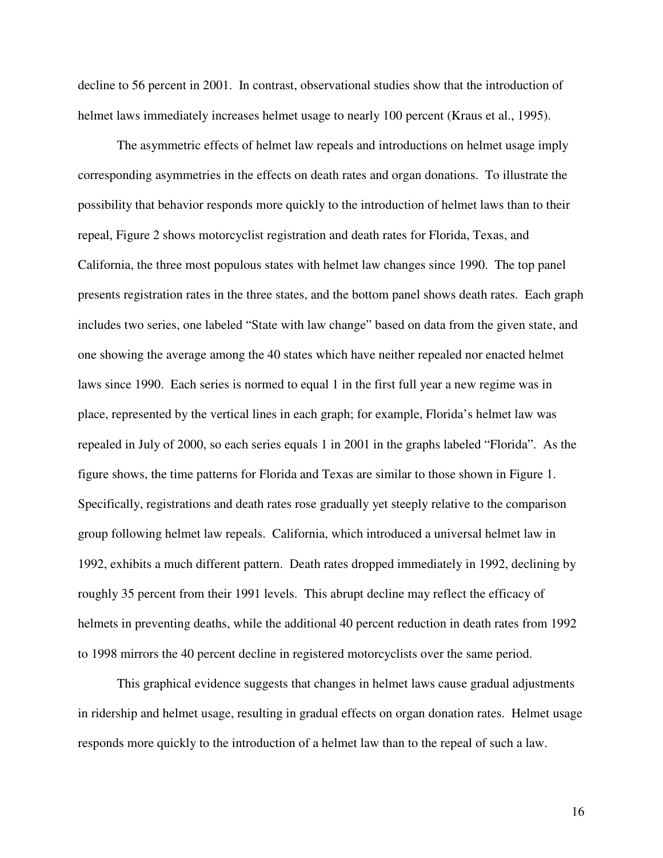decline to 56 percent in 2001. In contrast, observational studies show that the introduction of helmet laws immediately increases helmet usage to nearly 100 percent (Kraus et al., 1995).

The asymmetric effects of helmet law repeals and introductions on helmet usage imply corresponding asymmetries in the effects on death rates and organ donations. To illustrate the possibility that behavior responds more quickly to the introduction of helmet laws than to their repeal, Figure 2 shows motorcyclist registration and death rates for Florida, Texas, and California, the three most populous states with helmet law changes since 1990. The top panel presents registration rates in the three states, and the bottom panel shows death rates. Each graph includes two series, one labeled "State with law change" based on data from the given state, and one showing the average among the 40 states which have neither repealed nor enacted helmet laws since 1990. Each series is normed to equal 1 in the first full year a new regime was in place, represented by the vertical lines in each graph; for example, Florida's helmet law was repealed in July of 2000, so each series equals 1 in 2001 in the graphs labeled "Florida". As the figure shows, the time patterns for Florida and Texas are similar to those shown in Figure 1. Specifically, registrations and death rates rose gradually yet steeply relative to the comparison group following helmet law repeals. California, which introduced a universal helmet law in 1992, exhibits a much different pattern. Death rates dropped immediately in 1992, declining by roughly 35 percent from their 1991 levels. This abrupt decline may reflect the efficacy of helmets in preventing deaths, while the additional 40 percent reduction in death rates from 1992 to 1998 mirrors the 40 percent decline in registered motorcyclists over the same period.

This graphical evidence suggests that changes in helmet laws cause gradual adjustments in ridership and helmet usage, resulting in gradual effects on organ donation rates. Helmet usage responds more quickly to the introduction of a helmet law than to the repeal of such a law.

16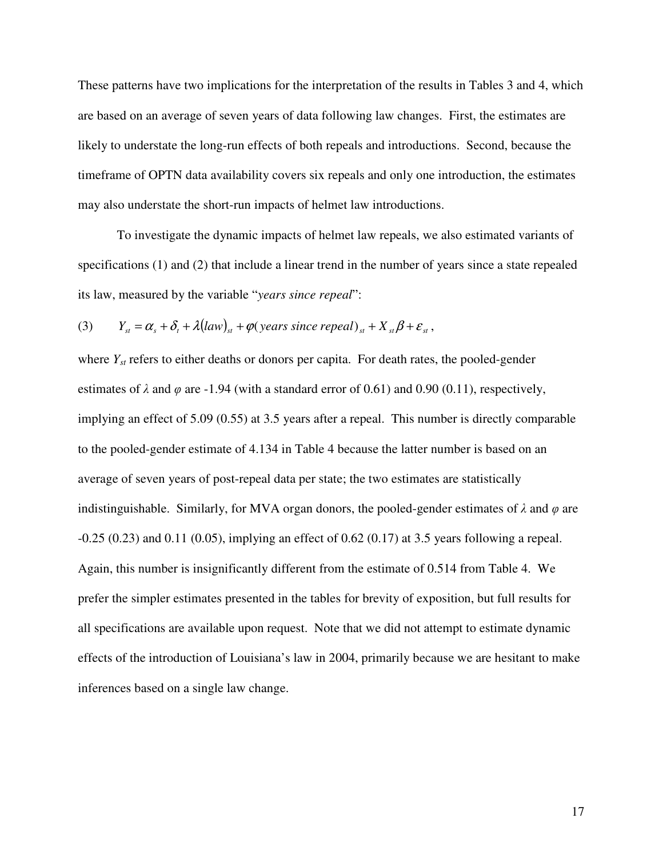These patterns have two implications for the interpretation of the results in Tables 3 and 4, which are based on an average of seven years of data following law changes. First, the estimates are likely to understate the long-run effects of both repeals and introductions. Second, because the timeframe of OPTN data availability covers six repeals and only one introduction, the estimates may also understate the short-run impacts of helmet law introductions.

To investigate the dynamic impacts of helmet law repeals, we also estimated variants of specifications (1) and (2) that include a linear trend in the number of years since a state repealed its law, measured by the variable "*years since repeal*":

(3) 
$$
Y_{st} = \alpha_s + \delta_t + \lambda (law)_{st} + \varphi (years since reped)_{st} + X_{st}\beta + \varepsilon_{st},
$$

where  $Y_{st}$  refers to either deaths or donors per capita. For death rates, the pooled-gender estimates of  $\lambda$  and  $\varphi$  are -1.94 (with a standard error of 0.61) and 0.90 (0.11), respectively, implying an effect of 5.09 (0.55) at 3.5 years after a repeal. This number is directly comparable to the pooled-gender estimate of 4.134 in Table 4 because the latter number is based on an average of seven years of post-repeal data per state; the two estimates are statistically indistinguishable. Similarly, for MVA organ donors, the pooled-gender estimates of  $\lambda$  and  $\varphi$  are -0.25 (0.23) and 0.11 (0.05), implying an effect of 0.62 (0.17) at 3.5 years following a repeal. Again, this number is insignificantly different from the estimate of 0.514 from Table 4. We prefer the simpler estimates presented in the tables for brevity of exposition, but full results for all specifications are available upon request. Note that we did not attempt to estimate dynamic effects of the introduction of Louisiana's law in 2004, primarily because we are hesitant to make inferences based on a single law change.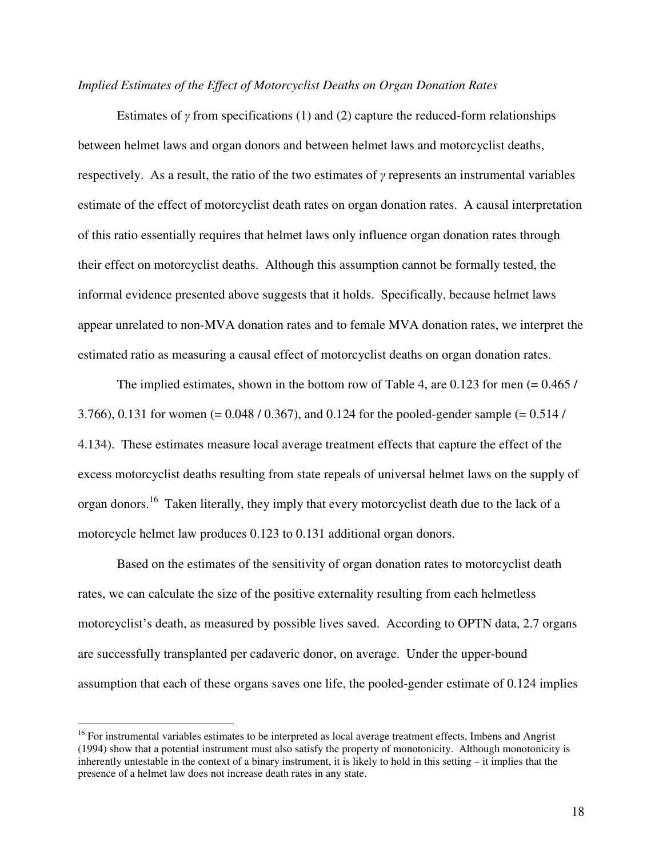#### *Implied Estimates of the Effect of Motorcyclist Deaths on Organ Donation Rates*

Estimates of  $\gamma$  from specifications (1) and (2) capture the reduced-form relationships between helmet laws and organ donors and between helmet laws and motorcyclist deaths, respectively. As a result, the ratio of the two estimates of  $\gamma$  represents an instrumental variables estimate of the effect of motorcyclist death rates on organ donation rates. A causal interpretation of this ratio essentially requires that helmet laws only influence organ donation rates through their effect on motorcyclist deaths. Although this assumption cannot be formally tested, the informal evidence presented above suggests that it holds. Specifically, because helmet laws appear unrelated to non-MVA donation rates and to female MVA donation rates, we interpret the estimated ratio as measuring a causal effect of motorcyclist deaths on organ donation rates.

The implied estimates, shown in the bottom row of Table 4, are 0.123 for men  $(= 0.465 /$ 3.766), 0.131 for women (= 0.048 / 0.367), and 0.124 for the pooled-gender sample (= 0.514 / 4.134). These estimates measure local average treatment effects that capture the effect of the excess motorcyclist deaths resulting from state repeals of universal helmet laws on the supply of organ donors.<sup>16</sup> Taken literally, they imply that every motorcyclist death due to the lack of a motorcycle helmet law produces 0.123 to 0.131 additional organ donors.

Based on the estimates of the sensitivity of organ donation rates to motorcyclist death rates, we can calculate the size of the positive externality resulting from each helmetless motorcyclist's death, as measured by possible lives saved. According to OPTN data, 2.7 organs are successfully transplanted per cadaveric donor, on average. Under the upper-bound assumption that each of these organs saves one life, the pooled-gender estimate of 0.124 implies

<sup>&</sup>lt;sup>16</sup> For instrumental variables estimates to be interpreted as local average treatment effects, Imbens and Angrist (1994) show that a potential instrument must also satisfy the property of monotonicity. Although monotonicity is inherently untestable in the context of a binary instrument, it is likely to hold in this setting – it implies that the presence of a helmet law does not increase death rates in any state.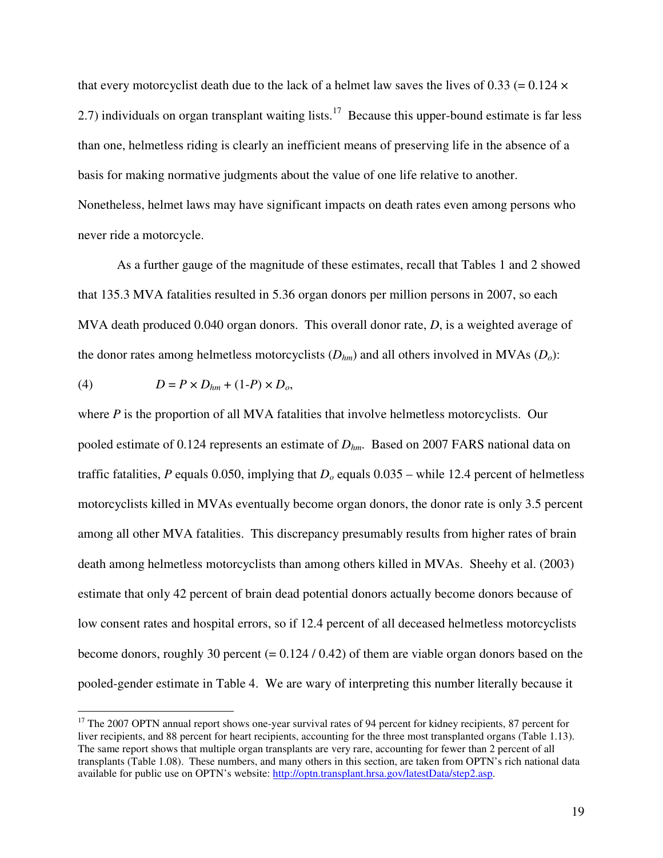that every motorcyclist death due to the lack of a helmet law saves the lives of 0.33 (=  $0.124 \times$ 2.7) individuals on organ transplant waiting lists.<sup>17</sup> Because this upper-bound estimate is far less than one, helmetless riding is clearly an inefficient means of preserving life in the absence of a basis for making normative judgments about the value of one life relative to another. Nonetheless, helmet laws may have significant impacts on death rates even among persons who never ride a motorcycle.

As a further gauge of the magnitude of these estimates, recall that Tables 1 and 2 showed that 135.3 MVA fatalities resulted in 5.36 organ donors per million persons in 2007, so each MVA death produced 0.040 organ donors. This overall donor rate, *D*, is a weighted average of the donor rates among helmetless motorcyclists (*Dhm*) and all others involved in MVAs (*Do*):

$$
(4) \tD = P \times D_{hm} + (1-P) \times D_o,
$$

 $\overline{a}$ 

where *P* is the proportion of all MVA fatalities that involve helmetless motorcyclists. Our pooled estimate of 0.124 represents an estimate of *Dhm*. Based on 2007 FARS national data on traffic fatalities, *P* equals 0.050, implying that  $D<sub>o</sub>$  equals 0.035 – while 12.4 percent of helmetless motorcyclists killed in MVAs eventually become organ donors, the donor rate is only 3.5 percent among all other MVA fatalities. This discrepancy presumably results from higher rates of brain death among helmetless motorcyclists than among others killed in MVAs. Sheehy et al. (2003) estimate that only 42 percent of brain dead potential donors actually become donors because of low consent rates and hospital errors, so if 12.4 percent of all deceased helmetless motorcyclists become donors, roughly 30 percent  $(= 0.124 / 0.42)$  of them are viable organ donors based on the pooled-gender estimate in Table 4. We are wary of interpreting this number literally because it

<sup>&</sup>lt;sup>17</sup> The 2007 OPTN annual report shows one-year survival rates of 94 percent for kidney recipients, 87 percent for liver recipients, and 88 percent for heart recipients, accounting for the three most transplanted organs (Table 1.13). The same report shows that multiple organ transplants are very rare, accounting for fewer than 2 percent of all transplants (Table 1.08). These numbers, and many others in this section, are taken from OPTN's rich national data available for public use on OPTN's website: http://optn.transplant.hrsa.gov/latestData/step2.asp.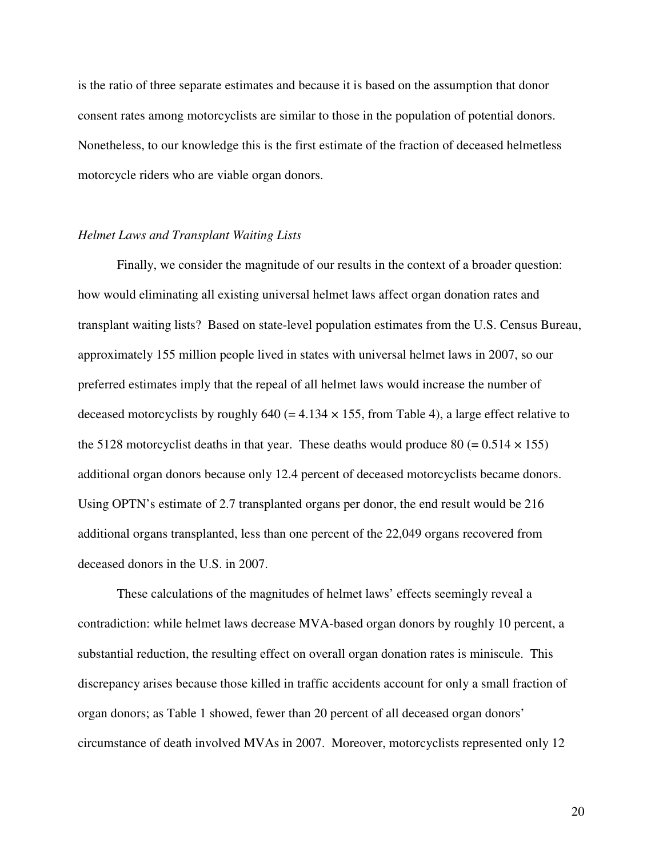is the ratio of three separate estimates and because it is based on the assumption that donor consent rates among motorcyclists are similar to those in the population of potential donors. Nonetheless, to our knowledge this is the first estimate of the fraction of deceased helmetless motorcycle riders who are viable organ donors.

#### *Helmet Laws and Transplant Waiting Lists*

Finally, we consider the magnitude of our results in the context of a broader question: how would eliminating all existing universal helmet laws affect organ donation rates and transplant waiting lists? Based on state-level population estimates from the U.S. Census Bureau, approximately 155 million people lived in states with universal helmet laws in 2007, so our preferred estimates imply that the repeal of all helmet laws would increase the number of deceased motorcyclists by roughly 640 (= 4.134  $\times$  155, from Table 4), a large effect relative to the 5128 motorcyclist deaths in that year. These deaths would produce 80 (=  $0.514 \times 155$ ) additional organ donors because only 12.4 percent of deceased motorcyclists became donors. Using OPTN's estimate of 2.7 transplanted organs per donor, the end result would be 216 additional organs transplanted, less than one percent of the 22,049 organs recovered from deceased donors in the U.S. in 2007.

These calculations of the magnitudes of helmet laws' effects seemingly reveal a contradiction: while helmet laws decrease MVA-based organ donors by roughly 10 percent, a substantial reduction, the resulting effect on overall organ donation rates is miniscule. This discrepancy arises because those killed in traffic accidents account for only a small fraction of organ donors; as Table 1 showed, fewer than 20 percent of all deceased organ donors' circumstance of death involved MVAs in 2007. Moreover, motorcyclists represented only 12

20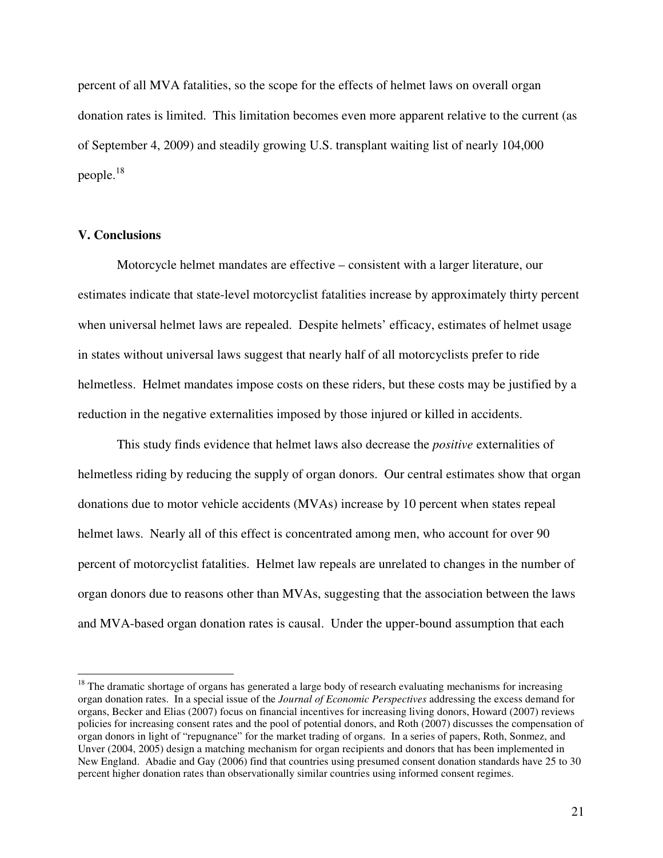percent of all MVA fatalities, so the scope for the effects of helmet laws on overall organ donation rates is limited. This limitation becomes even more apparent relative to the current (as of September 4, 2009) and steadily growing U.S. transplant waiting list of nearly 104,000 people. $^{18}$ 

#### **V. Conclusions**

 $\overline{a}$ 

Motorcycle helmet mandates are effective – consistent with a larger literature, our estimates indicate that state-level motorcyclist fatalities increase by approximately thirty percent when universal helmet laws are repealed. Despite helmets' efficacy, estimates of helmet usage in states without universal laws suggest that nearly half of all motorcyclists prefer to ride helmetless. Helmet mandates impose costs on these riders, but these costs may be justified by a reduction in the negative externalities imposed by those injured or killed in accidents.

This study finds evidence that helmet laws also decrease the *positive* externalities of helmetless riding by reducing the supply of organ donors. Our central estimates show that organ donations due to motor vehicle accidents (MVAs) increase by 10 percent when states repeal helmet laws. Nearly all of this effect is concentrated among men, who account for over 90 percent of motorcyclist fatalities. Helmet law repeals are unrelated to changes in the number of organ donors due to reasons other than MVAs, suggesting that the association between the laws and MVA-based organ donation rates is causal. Under the upper-bound assumption that each

<sup>&</sup>lt;sup>18</sup> The dramatic shortage of organs has generated a large body of research evaluating mechanisms for increasing organ donation rates. In a special issue of the *Journal of Economic Perspectives* addressing the excess demand for organs, Becker and Elias (2007) focus on financial incentives for increasing living donors, Howard (2007) reviews policies for increasing consent rates and the pool of potential donors, and Roth (2007) discusses the compensation of organ donors in light of "repugnance" for the market trading of organs. In a series of papers, Roth, Sonmez, and Unver (2004, 2005) design a matching mechanism for organ recipients and donors that has been implemented in New England. Abadie and Gay (2006) find that countries using presumed consent donation standards have 25 to 30 percent higher donation rates than observationally similar countries using informed consent regimes.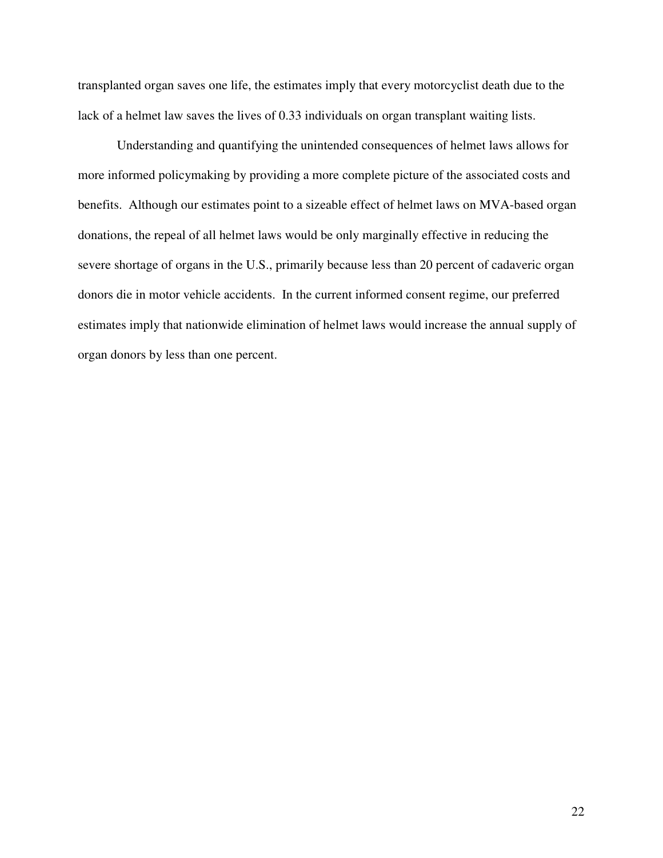transplanted organ saves one life, the estimates imply that every motorcyclist death due to the lack of a helmet law saves the lives of 0.33 individuals on organ transplant waiting lists.

Understanding and quantifying the unintended consequences of helmet laws allows for more informed policymaking by providing a more complete picture of the associated costs and benefits. Although our estimates point to a sizeable effect of helmet laws on MVA-based organ donations, the repeal of all helmet laws would be only marginally effective in reducing the severe shortage of organs in the U.S., primarily because less than 20 percent of cadaveric organ donors die in motor vehicle accidents. In the current informed consent regime, our preferred estimates imply that nationwide elimination of helmet laws would increase the annual supply of organ donors by less than one percent.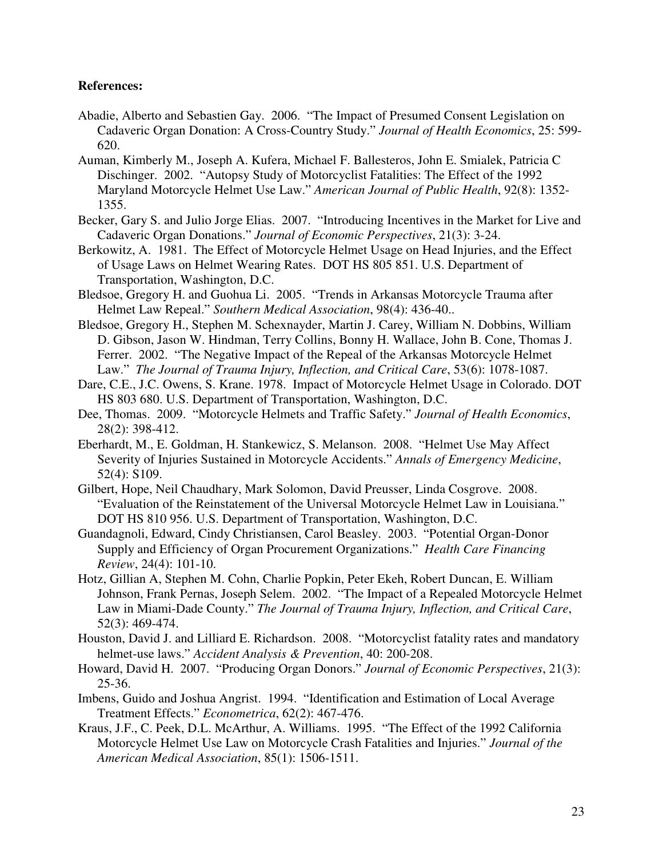### **References:**

- Abadie, Alberto and Sebastien Gay. 2006. "The Impact of Presumed Consent Legislation on Cadaveric Organ Donation: A Cross-Country Study." *Journal of Health Economics*, 25: 599- 620.
- Auman, Kimberly M., Joseph A. Kufera, Michael F. Ballesteros, John E. Smialek, Patricia C Dischinger. 2002. "Autopsy Study of Motorcyclist Fatalities: The Effect of the 1992 Maryland Motorcycle Helmet Use Law." *American Journal of Public Health*, 92(8): 1352- 1355.
- Becker, Gary S. and Julio Jorge Elias. 2007. "Introducing Incentives in the Market for Live and Cadaveric Organ Donations." *Journal of Economic Perspectives*, 21(3): 3-24.
- Berkowitz, A. 1981. The Effect of Motorcycle Helmet Usage on Head Injuries, and the Effect of Usage Laws on Helmet Wearing Rates. DOT HS 805 851. U.S. Department of Transportation, Washington, D.C.
- Bledsoe, Gregory H. and Guohua Li. 2005. "Trends in Arkansas Motorcycle Trauma after Helmet Law Repeal." *Southern Medical Association*, 98(4): 436-40..
- Bledsoe, Gregory H., Stephen M. Schexnayder, Martin J. Carey, William N. Dobbins, William D. Gibson, Jason W. Hindman, Terry Collins, Bonny H. Wallace, John B. Cone, Thomas J. Ferrer. 2002. "The Negative Impact of the Repeal of the Arkansas Motorcycle Helmet Law." *The Journal of Trauma Injury, Inflection, and Critical Care*, 53(6): 1078-1087.
- Dare, C.E., J.C. Owens, S. Krane. 1978. Impact of Motorcycle Helmet Usage in Colorado. DOT HS 803 680. U.S. Department of Transportation, Washington, D.C.
- Dee, Thomas. 2009. "Motorcycle Helmets and Traffic Safety." *Journal of Health Economics*, 28(2): 398-412.
- Eberhardt, M., E. Goldman, H. Stankewicz, S. Melanson. 2008. "Helmet Use May Affect Severity of Injuries Sustained in Motorcycle Accidents." *Annals of Emergency Medicine*, 52(4): S109.
- Gilbert, Hope, Neil Chaudhary, Mark Solomon, David Preusser, Linda Cosgrove. 2008. "Evaluation of the Reinstatement of the Universal Motorcycle Helmet Law in Louisiana." DOT HS 810 956. U.S. Department of Transportation, Washington, D.C.
- Guandagnoli, Edward, Cindy Christiansen, Carol Beasley. 2003. "Potential Organ-Donor Supply and Efficiency of Organ Procurement Organizations." *Health Care Financing Review*, 24(4): 101-10.
- Hotz, Gillian A, Stephen M. Cohn, Charlie Popkin, Peter Ekeh, Robert Duncan, E. William Johnson, Frank Pernas, Joseph Selem. 2002. "The Impact of a Repealed Motorcycle Helmet Law in Miami-Dade County." *The Journal of Trauma Injury, Inflection, and Critical Care*, 52(3): 469-474.
- Houston, David J. and Lilliard E. Richardson. 2008. "Motorcyclist fatality rates and mandatory helmet-use laws." *Accident Analysis & Prevention*, 40: 200-208.
- Howard, David H. 2007. "Producing Organ Donors." *Journal of Economic Perspectives*, 21(3): 25-36.
- Imbens, Guido and Joshua Angrist. 1994. "Identification and Estimation of Local Average Treatment Effects." *Econometrica*, 62(2): 467-476.
- Kraus, J.F., C. Peek, D.L. McArthur, A. Williams. 1995. "The Effect of the 1992 California Motorcycle Helmet Use Law on Motorcycle Crash Fatalities and Injuries." *Journal of the American Medical Association*, 85(1): 1506-1511.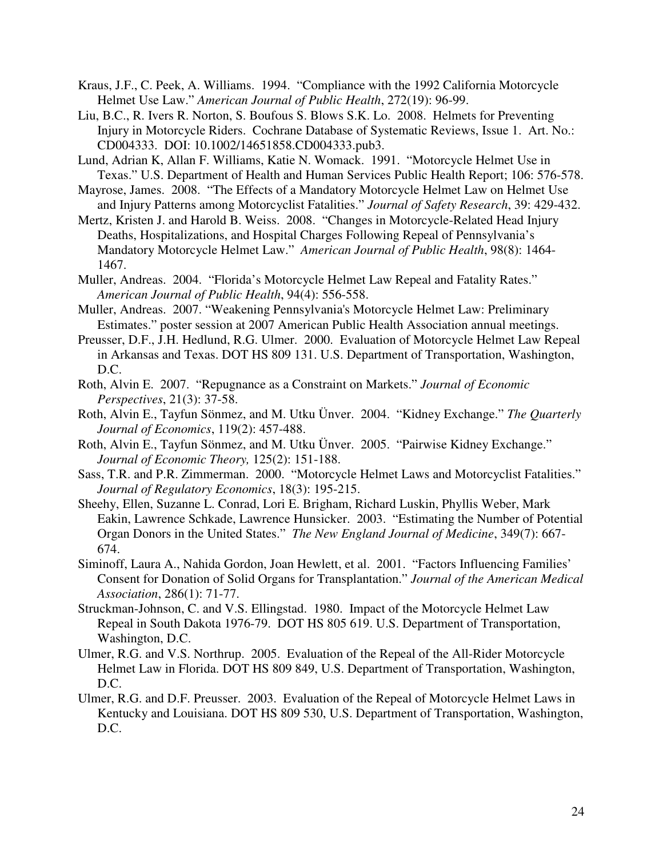- Kraus, J.F., C. Peek, A. Williams. 1994. "Compliance with the 1992 California Motorcycle Helmet Use Law." *American Journal of Public Health*, 272(19): 96-99.
- Liu, B.C., R. Ivers R. Norton, S. Boufous S. Blows S.K. Lo. 2008. Helmets for Preventing Injury in Motorcycle Riders. Cochrane Database of Systematic Reviews, Issue 1. Art. No.: CD004333. DOI: 10.1002/14651858.CD004333.pub3.
- Lund, Adrian K, Allan F. Williams, Katie N. Womack. 1991. "Motorcycle Helmet Use in Texas." U.S. Department of Health and Human Services Public Health Report; 106: 576-578.
- Mayrose, James. 2008. "The Effects of a Mandatory Motorcycle Helmet Law on Helmet Use and Injury Patterns among Motorcyclist Fatalities." *Journal of Safety Research*, 39: 429-432.
- Mertz, Kristen J. and Harold B. Weiss. 2008. "Changes in Motorcycle-Related Head Injury Deaths, Hospitalizations, and Hospital Charges Following Repeal of Pennsylvania's Mandatory Motorcycle Helmet Law." *American Journal of Public Health*, 98(8): 1464- 1467.
- Muller, Andreas. 2004. "Florida's Motorcycle Helmet Law Repeal and Fatality Rates." *American Journal of Public Health*, 94(4): 556-558.
- Muller, Andreas. 2007. "Weakening Pennsylvania's Motorcycle Helmet Law: Preliminary Estimates." poster session at 2007 American Public Health Association annual meetings.
- Preusser, D.F., J.H. Hedlund, R.G. Ulmer. 2000. Evaluation of Motorcycle Helmet Law Repeal in Arkansas and Texas. DOT HS 809 131. U.S. Department of Transportation, Washington, D.C.
- Roth, Alvin E. 2007. "Repugnance as a Constraint on Markets." *Journal of Economic Perspectives*, 21(3): 37-58.
- Roth, Alvin E., Tayfun Sönmez, and M. Utku Ünver. 2004. "Kidney Exchange." *The Quarterly Journal of Economics*, 119(2): 457-488.
- Roth, Alvin E., Tayfun Sönmez, and M. Utku Ünver. 2005. "Pairwise Kidney Exchange." *Journal of Economic Theory,* 125(2): 151-188.
- Sass, T.R. and P.R. Zimmerman. 2000. "Motorcycle Helmet Laws and Motorcyclist Fatalities." *Journal of Regulatory Economics*, 18(3): 195-215.
- Sheehy, Ellen, Suzanne L. Conrad, Lori E. Brigham, Richard Luskin, Phyllis Weber, Mark Eakin, Lawrence Schkade, Lawrence Hunsicker. 2003. "Estimating the Number of Potential Organ Donors in the United States." *The New England Journal of Medicine*, 349(7): 667- 674.
- Siminoff, Laura A., Nahida Gordon, Joan Hewlett, et al. 2001. "Factors Influencing Families' Consent for Donation of Solid Organs for Transplantation." *Journal of the American Medical Association*, 286(1): 71-77.
- Struckman-Johnson, C. and V.S. Ellingstad. 1980. Impact of the Motorcycle Helmet Law Repeal in South Dakota 1976-79. DOT HS 805 619. U.S. Department of Transportation, Washington, D.C.
- Ulmer, R.G. and V.S. Northrup. 2005. Evaluation of the Repeal of the All-Rider Motorcycle Helmet Law in Florida. DOT HS 809 849, U.S. Department of Transportation, Washington, D.C.
- Ulmer, R.G. and D.F. Preusser. 2003. Evaluation of the Repeal of Motorcycle Helmet Laws in Kentucky and Louisiana. DOT HS 809 530, U.S. Department of Transportation, Washington, D.C.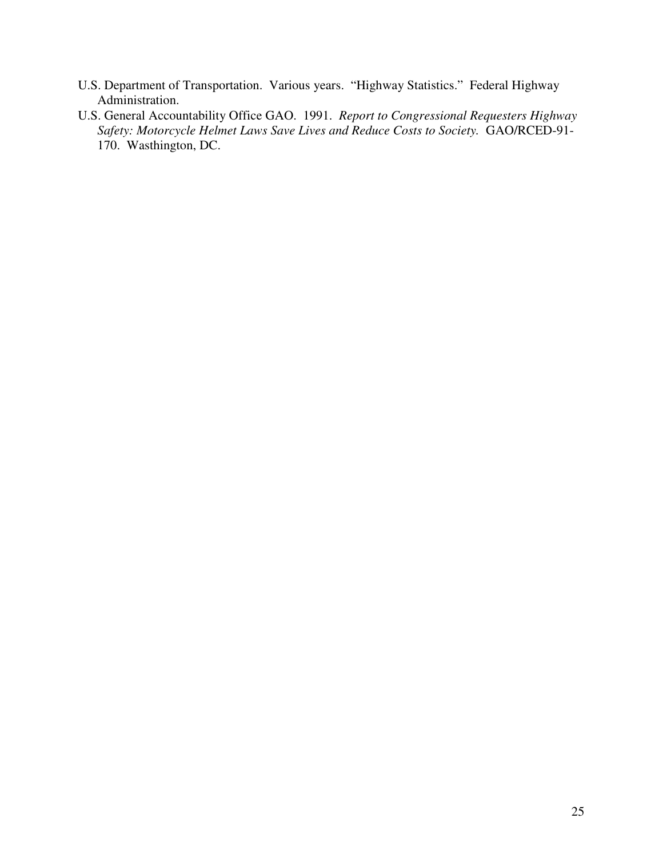- U.S. Department of Transportation. Various years. "Highway Statistics." Federal Highway Administration.
- U.S. General Accountability Office GAO. 1991. *Report to Congressional Requesters Highway Safety: Motorcycle Helmet Laws Save Lives and Reduce Costs to Society.* GAO/RCED-91- 170. Wasthington, DC.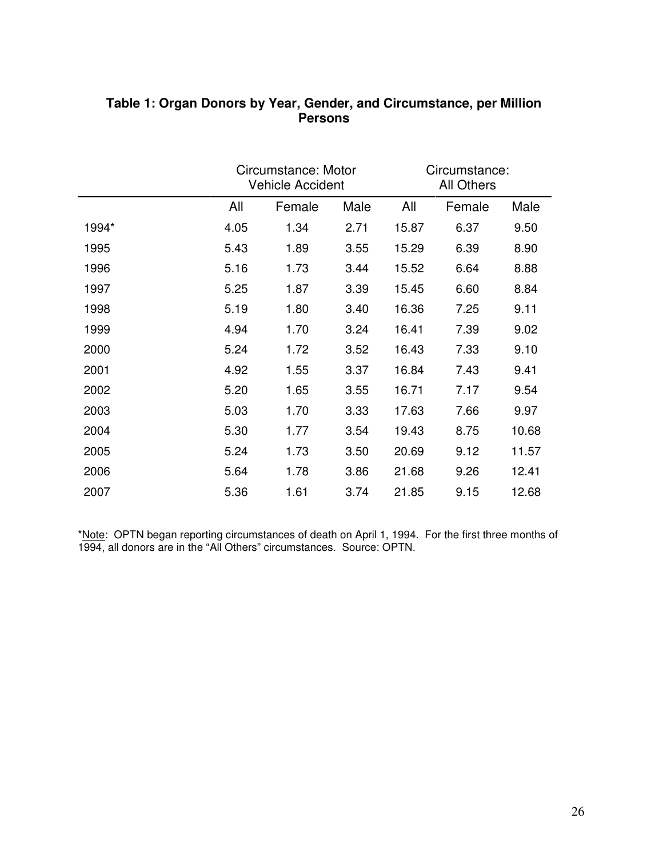|       |      | Circumstance: Motor<br><b>Vehicle Accident</b> |      | Circumstance:<br><b>All Others</b> |        |       |
|-------|------|------------------------------------------------|------|------------------------------------|--------|-------|
|       | All  | Female                                         | Male | All                                | Female | Male  |
| 1994* | 4.05 | 1.34                                           | 2.71 | 15.87                              | 6.37   | 9.50  |
| 1995  | 5.43 | 1.89                                           | 3.55 | 15.29                              | 6.39   | 8.90  |
| 1996  | 5.16 | 1.73                                           | 3.44 | 15.52                              | 6.64   | 8.88  |
| 1997  | 5.25 | 1.87                                           | 3.39 | 15.45                              | 6.60   | 8.84  |
| 1998  | 5.19 | 1.80                                           | 3.40 | 16.36                              | 7.25   | 9.11  |
| 1999  | 4.94 | 1.70                                           | 3.24 | 16.41                              | 7.39   | 9.02  |
| 2000  | 5.24 | 1.72                                           | 3.52 | 16.43                              | 7.33   | 9.10  |
| 2001  | 4.92 | 1.55                                           | 3.37 | 16.84                              | 7.43   | 9.41  |
| 2002  | 5.20 | 1.65                                           | 3.55 | 16.71                              | 7.17   | 9.54  |
| 2003  | 5.03 | 1.70                                           | 3.33 | 17.63                              | 7.66   | 9.97  |
| 2004  | 5.30 | 1.77                                           | 3.54 | 19.43                              | 8.75   | 10.68 |
| 2005  | 5.24 | 1.73                                           | 3.50 | 20.69                              | 9.12   | 11.57 |
| 2006  | 5.64 | 1.78                                           | 3.86 | 21.68                              | 9.26   | 12.41 |
| 2007  | 5.36 | 1.61                                           | 3.74 | 21.85                              | 9.15   | 12.68 |

## **Table 1: Organ Donors by Year, Gender, and Circumstance, per Million Persons**

\*Note: OPTN began reporting circumstances of death on April 1, 1994. For the first three months of 1994, all donors are in the "All Others" circumstances. Source: OPTN.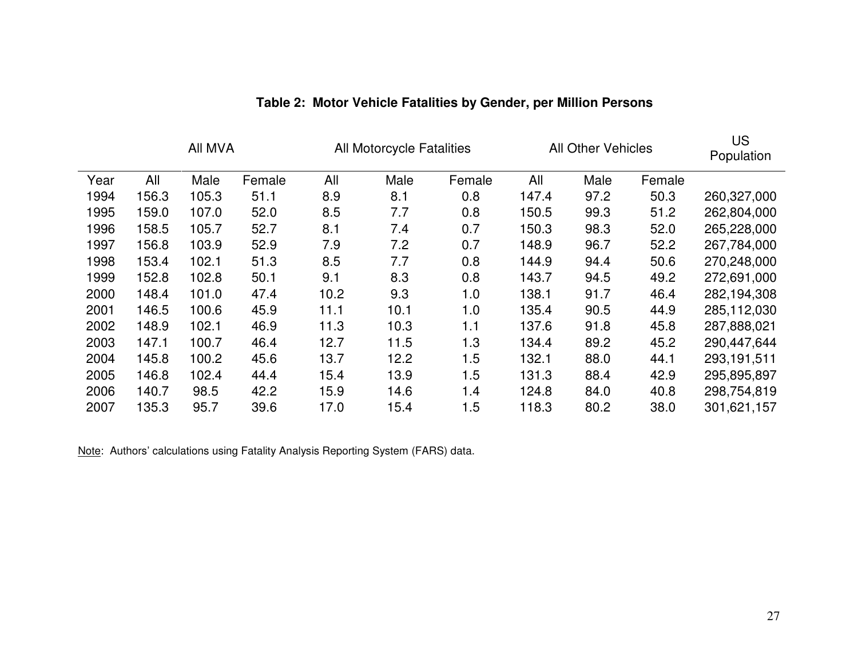| All MVA |       | <b>All Motorcycle Fatalities</b> |        | <b>All Other Vehicles</b> |      |        | US<br>Population |      |        |             |
|---------|-------|----------------------------------|--------|---------------------------|------|--------|------------------|------|--------|-------------|
| Year    | All   | Male                             | Female | All                       | Male | Female | All              | Male | Female |             |
| 1994    | 156.3 | 105.3                            | 51.1   | 8.9                       | 8.1  | 0.8    | 147.4            | 97.2 | 50.3   | 260,327,000 |
| 1995    | 159.0 | 107.0                            | 52.0   | 8.5                       | 7.7  | 0.8    | 150.5            | 99.3 | 51.2   | 262,804,000 |
| 1996    | 158.5 | 105.7                            | 52.7   | 8.1                       | 7.4  | 0.7    | 150.3            | 98.3 | 52.0   | 265,228,000 |
| 1997    | 156.8 | 103.9                            | 52.9   | 7.9                       | 7.2  | 0.7    | 148.9            | 96.7 | 52.2   | 267,784,000 |
| 1998    | 153.4 | 102.1                            | 51.3   | 8.5                       | 7.7  | 0.8    | 144.9            | 94.4 | 50.6   | 270,248,000 |
| 1999    | 152.8 | 102.8                            | 50.1   | 9.1                       | 8.3  | 0.8    | 143.7            | 94.5 | 49.2   | 272,691,000 |
| 2000    | 148.4 | 101.0                            | 47.4   | 10.2                      | 9.3  | 1.0    | 138.1            | 91.7 | 46.4   | 282,194,308 |
| 2001    | 146.5 | 100.6                            | 45.9   | 11.1                      | 10.1 | 1.0    | 135.4            | 90.5 | 44.9   | 285,112,030 |
| 2002    | 148.9 | 102.1                            | 46.9   | 11.3                      | 10.3 | 1.1    | 137.6            | 91.8 | 45.8   | 287,888,021 |
| 2003    | 147.1 | 100.7                            | 46.4   | 12.7                      | 11.5 | 1.3    | 134.4            | 89.2 | 45.2   | 290,447,644 |
| 2004    | 145.8 | 100.2                            | 45.6   | 13.7                      | 12.2 | 1.5    | 132.1            | 88.0 | 44.1   | 293,191,511 |
| 2005    | 146.8 | 102.4                            | 44.4   | 15.4                      | 13.9 | 1.5    | 131.3            | 88.4 | 42.9   | 295,895,897 |
| 2006    | 140.7 | 98.5                             | 42.2   | 15.9                      | 14.6 | 1.4    | 124.8            | 84.0 | 40.8   | 298,754,819 |
| 2007    | 135.3 | 95.7                             | 39.6   | 17.0                      | 15.4 | 1.5    | 118.3            | 80.2 | 38.0   | 301,621,157 |

## **Table 2: Motor Vehicle Fatalities by Gender, per Million Persons**

Note: Authors' calculations using Fatality Analysis Reporting System (FARS) data.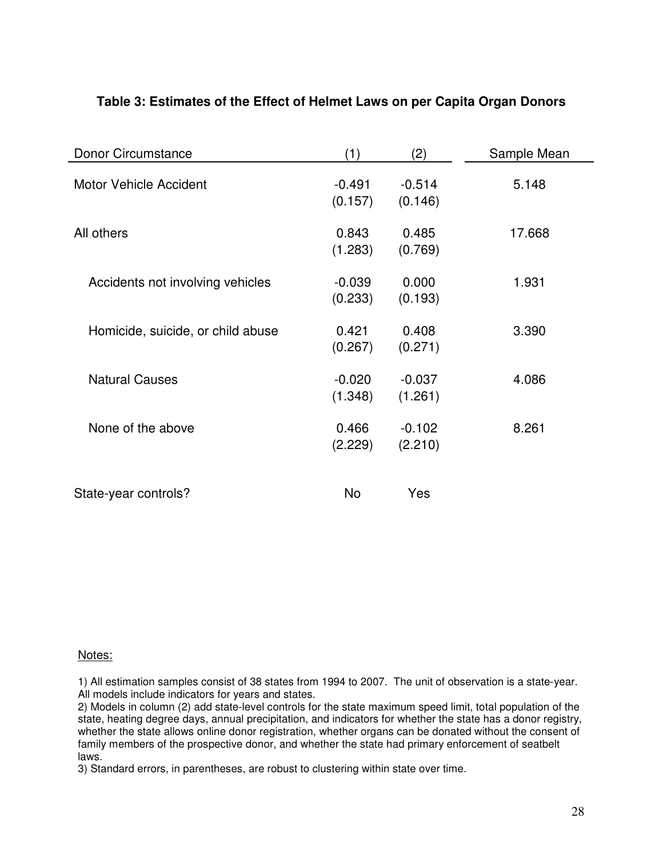| Donor Circumstance                | (1)                 | (2)                 | Sample Mean |
|-----------------------------------|---------------------|---------------------|-------------|
| <b>Motor Vehicle Accident</b>     | $-0.491$<br>(0.157) | $-0.514$<br>(0.146) | 5.148       |
| All others                        | 0.843<br>(1.283)    | 0.485<br>(0.769)    | 17.668      |
| Accidents not involving vehicles  | $-0.039$<br>(0.233) | 0.000<br>(0.193)    | 1.931       |
| Homicide, suicide, or child abuse | 0.421<br>(0.267)    | 0.408<br>(0.271)    | 3.390       |
| <b>Natural Causes</b>             | $-0.020$<br>(1.348) | $-0.037$<br>(1.261) | 4.086       |
| None of the above                 | 0.466<br>(2.229)    | $-0.102$<br>(2.210) | 8.261       |
| State-year controls?              | No                  | Yes                 |             |

## **Table 3: Estimates of the Effect of Helmet Laws on per Capita Organ Donors**

## Notes:

1) All estimation samples consist of 38 states from 1994 to 2007. The unit of observation is a state-year. All models include indicators for years and states.

2) Models in column (2) add state-level controls for the state maximum speed limit, total population of the state, heating degree days, annual precipitation, and indicators for whether the state has a donor registry, whether the state allows online donor registration, whether organs can be donated without the consent of family members of the prospective donor, and whether the state had primary enforcement of seatbelt laws.

3) Standard errors, in parentheses, are robust to clustering within state over time.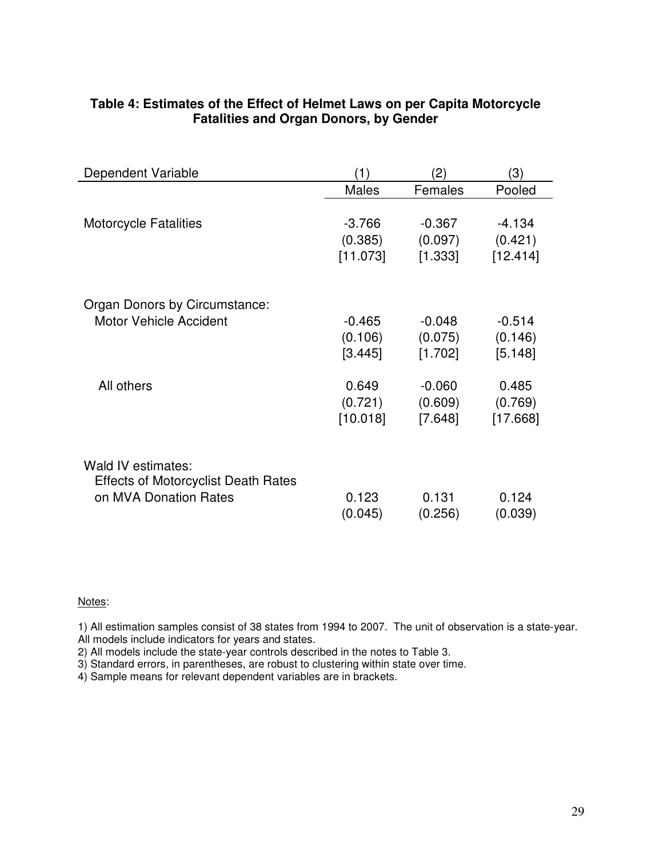| Dependent Variable                         | (1)          | (2)      | (3)      |
|--------------------------------------------|--------------|----------|----------|
|                                            | <b>Males</b> | Females  | Pooled   |
|                                            |              |          |          |
| <b>Motorcycle Fatalities</b>               | $-3.766$     | $-0.367$ | -4.134   |
|                                            | (0.385)      | (0.097)  | (0.421)  |
|                                            | [11.073]     | [1.333]  | [12.414] |
|                                            |              |          |          |
| Organ Donors by Circumstance:              |              |          |          |
| <b>Motor Vehicle Accident</b>              | $-0.465$     | -0.048   | $-0.514$ |
|                                            | (0.106)      | (0.075)  | (0.146)  |
|                                            | [3.445]      | [1.702]  | [5.148]  |
|                                            |              |          |          |
| All others                                 | 0.649        | $-0.060$ | 0.485    |
|                                            | (0.721)      | (0.609)  | (0.769)  |
|                                            | [10.018]     | [7.648]  | [17.668] |
|                                            |              |          |          |
| Wald IV estimates:                         |              |          |          |
| <b>Effects of Motorcyclist Death Rates</b> |              |          |          |
| on MVA Donation Rates                      | 0.123        | 0.131    | 0.124    |
|                                            | (0.045)      | (0.256)  | (0.039)  |
|                                            |              |          |          |

## **Table 4: Estimates of the Effect of Helmet Laws on per Capita Motorcycle Fatalities and Organ Donors, by Gender**

#### Notes:

1) All estimation samples consist of 38 states from 1994 to 2007. The unit of observation is a state-year.

All models include indicators for years and states.

2) All models include the state-year controls described in the notes to Table 3.

3) Standard errors, in parentheses, are robust to clustering within state over time.

4) Sample means for relevant dependent variables are in brackets.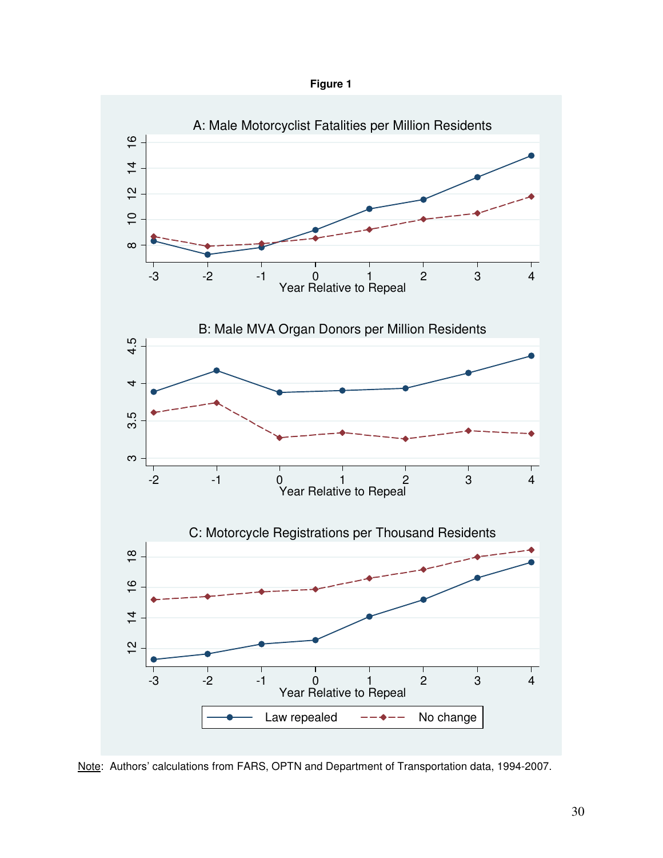



Note: Authors' calculations from FARS, OPTN and Department of Transportation data, 1994-2007.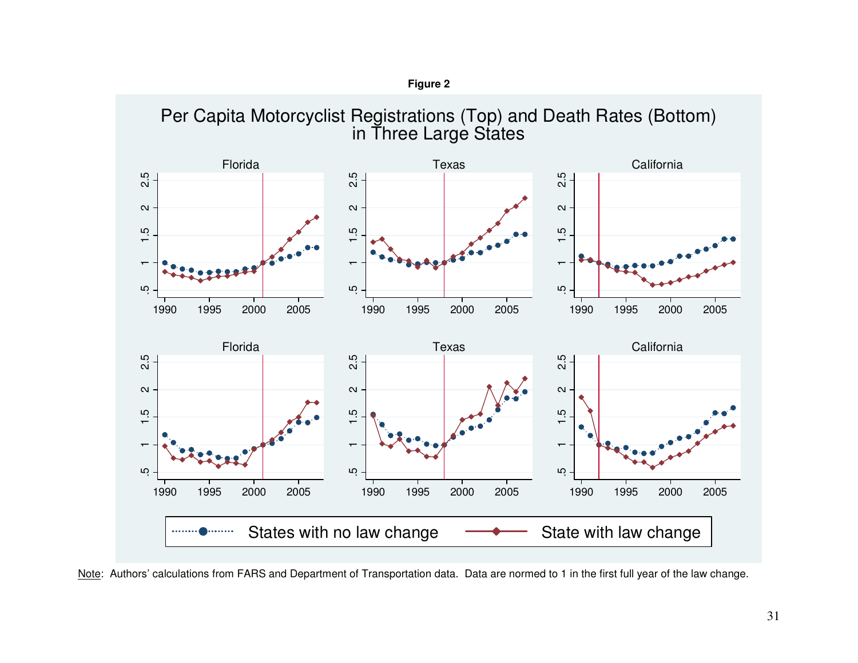

**Figure 2** 

Note: Authors' calculations from FARS and Department of Transportation data. Data are normed to 1 in the first full year of the law change.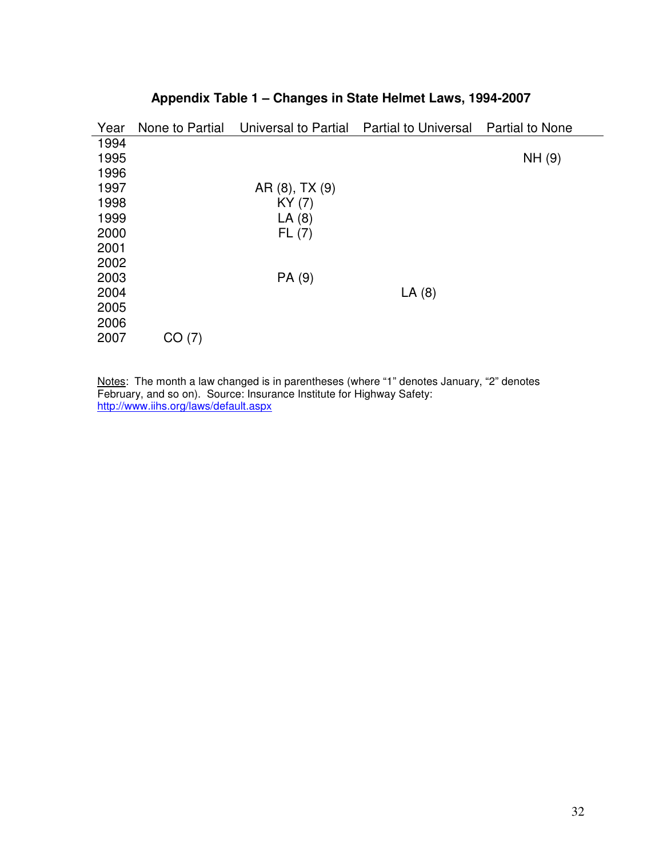| Year | None to Partial | Universal to Partial | <b>Partial to Universal</b> | <b>Partial to None</b> |
|------|-----------------|----------------------|-----------------------------|------------------------|
| 1994 |                 |                      |                             |                        |
| 1995 |                 |                      |                             | NH (9)                 |
| 1996 |                 |                      |                             |                        |
| 1997 |                 | AR (8), TX (9)       |                             |                        |
| 1998 |                 | KY(7)                |                             |                        |
| 1999 |                 | LA(8)                |                             |                        |
| 2000 |                 | FL(7)                |                             |                        |
| 2001 |                 |                      |                             |                        |
| 2002 |                 |                      |                             |                        |
| 2003 |                 | PA (9)               |                             |                        |
| 2004 |                 |                      | LA(8)                       |                        |
| 2005 |                 |                      |                             |                        |
| 2006 |                 |                      |                             |                        |
| 2007 | CO(7)           |                      |                             |                        |

# **Appendix Table 1 – Changes in State Helmet Laws, 1994-2007**

Notes: The month a law changed is in parentheses (where "1" denotes January, "2" denotes February, and so on). Source: Insurance Institute for Highway Safety: http://www.iihs.org/laws/default.aspx